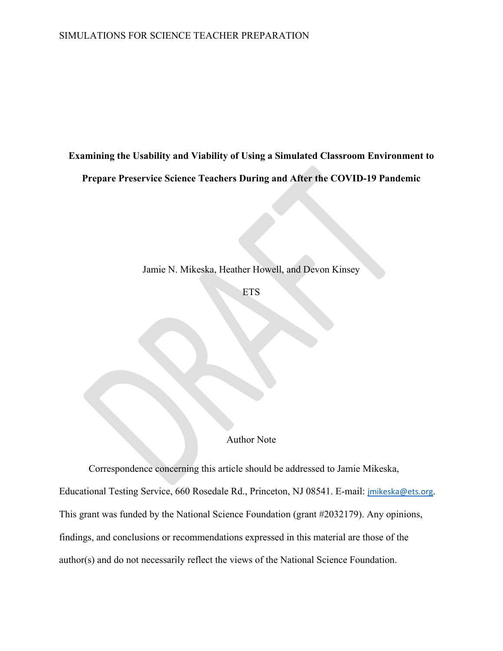**Examining the Usability and Viability of Using a Simulated Classroom Environment to** 

**Prepare Preservice Science Teachers During and After the COVID-19 Pandemic**

Jamie N. Mikeska, Heather Howell, and Devon Kinsey

ETS

Author Note

Correspondence concerning this article should be addressed to Jamie Mikeska, Educational Testing Service, 660 Rosedale Rd., Princeton, NJ 08541. E-mail: [jmikeska@ets.org](mailto:jmikeska@ets.org). This grant was funded by the National Science Foundation (grant #2032179). Any opinions, findings, and conclusions or recommendations expressed in this material are those of the author(s) and do not necessarily reflect the views of the National Science Foundation.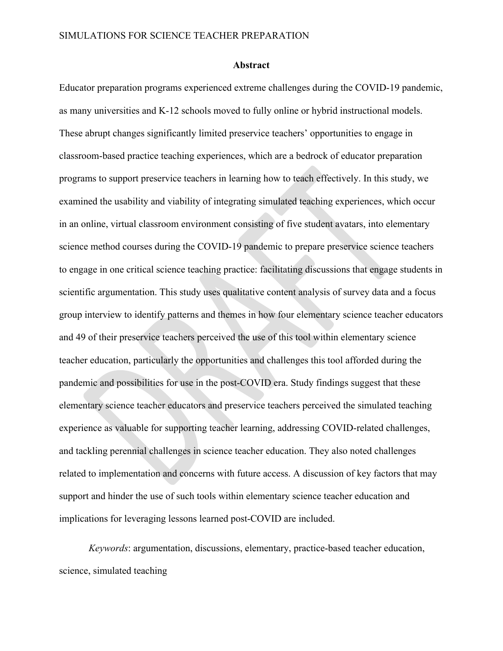#### **Abstract**

Educator preparation programs experienced extreme challenges during the COVID-19 pandemic, as many universities and K-12 schools moved to fully online or hybrid instructional models. These abrupt changes significantly limited preservice teachers' opportunities to engage in classroom-based practice teaching experiences, which are a bedrock of educator preparation programs to support preservice teachers in learning how to teach effectively. In this study, we examined the usability and viability of integrating simulated teaching experiences, which occur in an online, virtual classroom environment consisting of five student avatars, into elementary science method courses during the COVID-19 pandemic to prepare preservice science teachers to engage in one critical science teaching practice: facilitating discussions that engage students in scientific argumentation. This study uses qualitative content analysis of survey data and a focus group interview to identify patterns and themes in how four elementary science teacher educators and 49 of their preservice teachers perceived the use of this tool within elementary science teacher education, particularly the opportunities and challenges this tool afforded during the pandemic and possibilities for use in the post-COVID era. Study findings suggest that these elementary science teacher educators and preservice teachers perceived the simulated teaching experience as valuable for supporting teacher learning, addressing COVID-related challenges, and tackling perennial challenges in science teacher education. They also noted challenges related to implementation and concerns with future access. A discussion of key factors that may support and hinder the use of such tools within elementary science teacher education and implications for leveraging lessons learned post-COVID are included.

*Keywords*: argumentation, discussions, elementary, practice-based teacher education, science, simulated teaching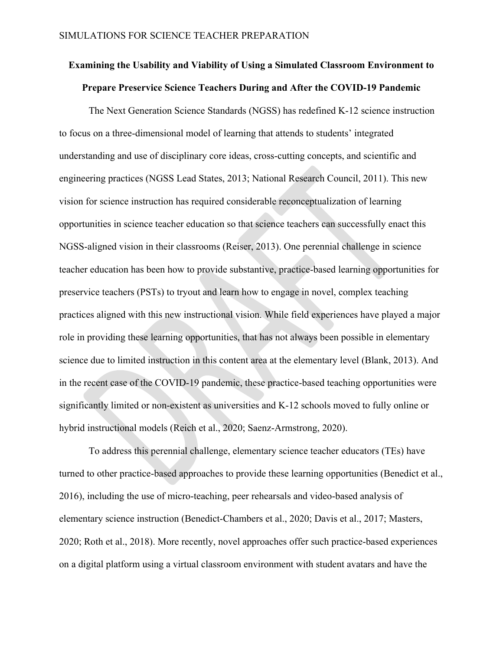# **Examining the Usability and Viability of Using a Simulated Classroom Environment to Prepare Preservice Science Teachers During and After the COVID-19 Pandemic**

The Next Generation Science Standards (NGSS) has redefined K-12 science instruction to focus on a three-dimensional model of learning that attends to students' integrated understanding and use of disciplinary core ideas, cross-cutting concepts, and scientific and engineering practices (NGSS Lead States, 2013; National Research Council, 2011). This new vision for science instruction has required considerable reconceptualization of learning opportunities in science teacher education so that science teachers can successfully enact this NGSS-aligned vision in their classrooms (Reiser, 2013). One perennial challenge in science teacher education has been how to provide substantive, practice-based learning opportunities for preservice teachers (PSTs) to tryout and learn how to engage in novel, complex teaching practices aligned with this new instructional vision. While field experiences have played a major role in providing these learning opportunities, that has not always been possible in elementary science due to limited instruction in this content area at the elementary level (Blank, 2013). And in the recent case of the COVID-19 pandemic, these practice-based teaching opportunities were significantly limited or non-existent as universities and K-12 schools moved to fully online or hybrid instructional models (Reich et al., 2020; Saenz-Armstrong, 2020).

To address this perennial challenge, elementary science teacher educators (TEs) have turned to other practice-based approaches to provide these learning opportunities (Benedict et al., 2016), including the use of micro-teaching, peer rehearsals and video-based analysis of elementary science instruction (Benedict-Chambers et al., 2020; Davis et al., 2017; Masters, 2020; Roth et al., 2018). More recently, novel approaches offer such practice-based experiences on a digital platform using a virtual classroom environment with student avatars and have the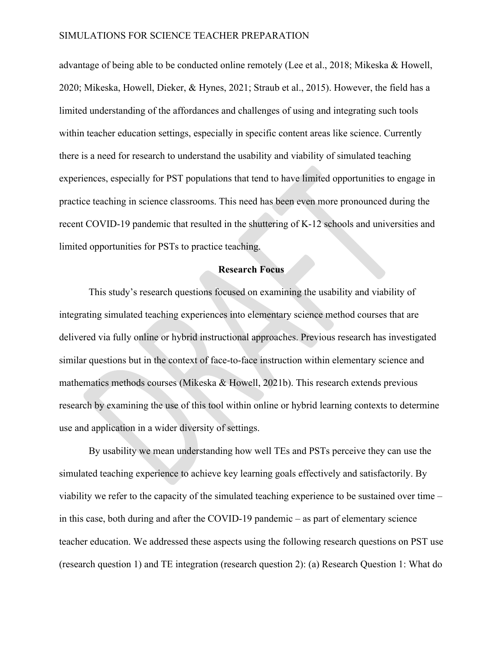advantage of being able to be conducted online remotely (Lee et al., 2018; Mikeska & Howell, 2020; Mikeska, Howell, Dieker, & Hynes, 2021; Straub et al., 2015). However, the field has a limited understanding of the affordances and challenges of using and integrating such tools within teacher education settings, especially in specific content areas like science. Currently there is a need for research to understand the usability and viability of simulated teaching experiences, especially for PST populations that tend to have limited opportunities to engage in practice teaching in science classrooms. This need has been even more pronounced during the recent COVID-19 pandemic that resulted in the shuttering of K-12 schools and universities and limited opportunities for PSTs to practice teaching.

### **Research Focus**

This study's research questions focused on examining the usability and viability of integrating simulated teaching experiences into elementary science method courses that are delivered via fully online or hybrid instructional approaches. Previous research has investigated similar questions but in the context of face-to-face instruction within elementary science and mathematics methods courses (Mikeska & Howell, 2021b). This research extends previous research by examining the use of this tool within online or hybrid learning contexts to determine use and application in a wider diversity of settings.

By usability we mean understanding how well TEs and PSTs perceive they can use the simulated teaching experience to achieve key learning goals effectively and satisfactorily. By viability we refer to the capacity of the simulated teaching experience to be sustained over time – in this case, both during and after the COVID-19 pandemic – as part of elementary science teacher education. We addressed these aspects using the following research questions on PST use (research question 1) and TE integration (research question 2): (a) Research Question 1: What do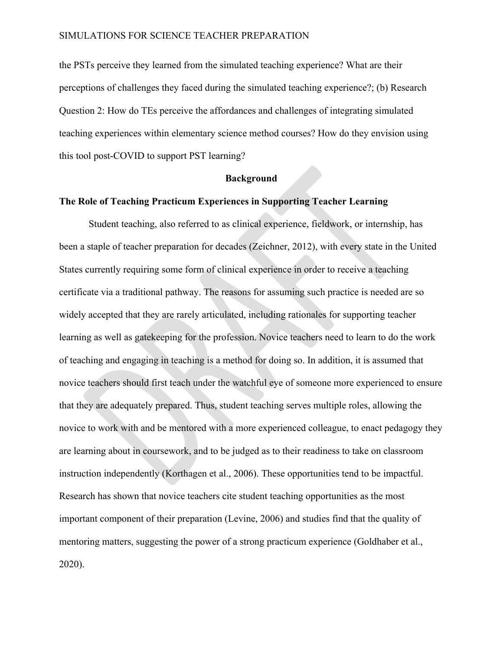the PSTs perceive they learned from the simulated teaching experience? What are their perceptions of challenges they faced during the simulated teaching experience?; (b) Research Question 2: How do TEs perceive the affordances and challenges of integrating simulated teaching experiences within elementary science method courses? How do they envision using this tool post-COVID to support PST learning?

#### **Background**

### **The Role of Teaching Practicum Experiences in Supporting Teacher Learning**

Student teaching, also referred to as clinical experience, fieldwork, or internship, has been a staple of teacher preparation for decades (Zeichner, 2012), with every state in the United States currently requiring some form of clinical experience in order to receive a teaching certificate via a traditional pathway. The reasons for assuming such practice is needed are so widely accepted that they are rarely articulated, including rationales for supporting teacher learning as well as gatekeeping for the profession. Novice teachers need to learn to do the work of teaching and engaging in teaching is a method for doing so. In addition, it is assumed that novice teachers should first teach under the watchful eye of someone more experienced to ensure that they are adequately prepared. Thus, student teaching serves multiple roles, allowing the novice to work with and be mentored with a more experienced colleague, to enact pedagogy they are learning about in coursework, and to be judged as to their readiness to take on classroom instruction independently (Korthagen et al., 2006). These opportunities tend to be impactful. Research has shown that novice teachers cite student teaching opportunities as the most important component of their preparation (Levine, 2006) and studies find that the quality of mentoring matters, suggesting the power of a strong practicum experience (Goldhaber et al., 2020).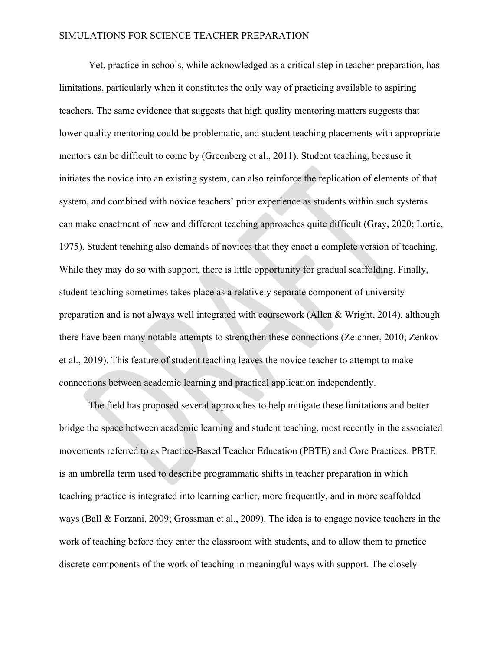Yet, practice in schools, while acknowledged as a critical step in teacher preparation, has limitations, particularly when it constitutes the only way of practicing available to aspiring teachers. The same evidence that suggests that high quality mentoring matters suggests that lower quality mentoring could be problematic, and student teaching placements with appropriate mentors can be difficult to come by (Greenberg et al., 2011). Student teaching, because it initiates the novice into an existing system, can also reinforce the replication of elements of that system, and combined with novice teachers' prior experience as students within such systems can make enactment of new and different teaching approaches quite difficult (Gray, 2020; Lortie, 1975). Student teaching also demands of novices that they enact a complete version of teaching. While they may do so with support, there is little opportunity for gradual scaffolding. Finally, student teaching sometimes takes place as a relatively separate component of university preparation and is not always well integrated with coursework (Allen & Wright, 2014), although there have been many notable attempts to strengthen these connections (Zeichner, 2010; Zenkov et al., 2019). This feature of student teaching leaves the novice teacher to attempt to make connections between academic learning and practical application independently.

The field has proposed several approaches to help mitigate these limitations and better bridge the space between academic learning and student teaching, most recently in the associated movements referred to as Practice-Based Teacher Education (PBTE) and Core Practices. PBTE is an umbrella term used to describe programmatic shifts in teacher preparation in which teaching practice is integrated into learning earlier, more frequently, and in more scaffolded ways (Ball & Forzani, 2009; Grossman et al., 2009). The idea is to engage novice teachers in the work of teaching before they enter the classroom with students, and to allow them to practice discrete components of the work of teaching in meaningful ways with support. The closely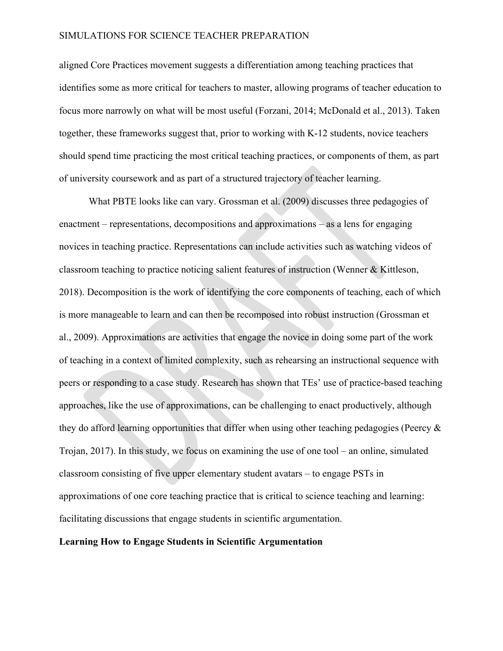aligned Core Practices movement suggests a differentiation among teaching practices that identifies some as more critical for teachers to master, allowing programs of teacher education to focus more narrowly on what will be most useful (Forzani, 2014; McDonald et al., 2013). Taken together, these frameworks suggest that, prior to working with K-12 students, novice teachers should spend time practicing the most critical teaching practices, or components of them, as part of university coursework and as part of a structured trajectory of teacher learning.

What PBTE looks like can vary. Grossman et al. (2009) discusses three pedagogies of enactment – representations, decompositions and approximations – as a lens for engaging novices in teaching practice. Representations can include activities such as watching videos of classroom teaching to practice noticing salient features of instruction (Wenner & Kittleson, 2018). Decomposition is the work of identifying the core components of teaching, each of which is more manageable to learn and can then be recomposed into robust instruction (Grossman et al., 2009). Approximations are activities that engage the novice in doing some part of the work of teaching in a context of limited complexity, such as rehearsing an instructional sequence with peers or responding to a case study. Research has shown that TEs' use of practice-based teaching approaches, like the use of approximations, can be challenging to enact productively, although they do afford learning opportunities that differ when using other teaching pedagogies (Peercy & Trojan, 2017). In this study, we focus on examining the use of one tool – an online, simulated classroom consisting of five upper elementary student avatars – to engage PSTs in approximations of one core teaching practice that is critical to science teaching and learning: facilitating discussions that engage students in scientific argumentation.

#### **Learning How to Engage Students in Scientific Argumentation**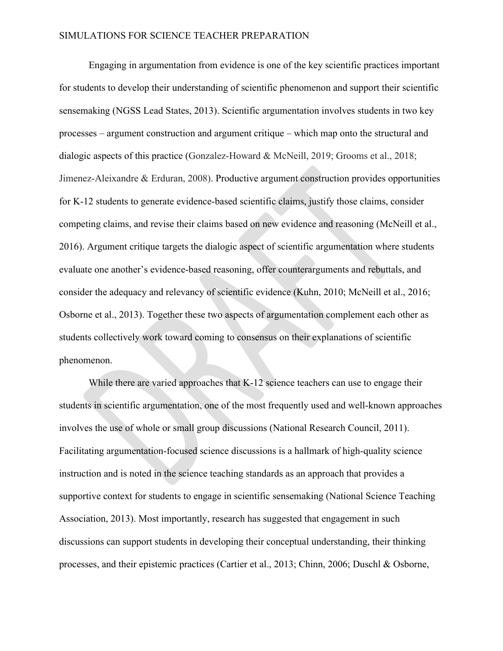Engaging in argumentation from evidence is one of the key scientific practices important for students to develop their understanding of scientific phenomenon and support their scientific sensemaking (NGSS Lead States, 2013). Scientific argumentation involves students in two key processes – argument construction and argument critique – which map onto the structural and dialogic aspects of this practice (Gonzalez-Howard & McNeill, 2019; Grooms et al., 2018; Jimenez-Aleixandre & Erduran, 2008). Productive argument construction provides opportunities for K-12 students to generate evidence-based scientific claims, justify those claims, consider competing claims, and revise their claims based on new evidence and reasoning (McNeill et al., 2016). Argument critique targets the dialogic aspect of scientific argumentation where students evaluate one another's evidence-based reasoning, offer counterarguments and rebuttals, and consider the adequacy and relevancy of scientific evidence (Kuhn, 2010; McNeill et al., 2016; Osborne et al., 2013). Together these two aspects of argumentation complement each other as students collectively work toward coming to consensus on their explanations of scientific phenomenon.

While there are varied approaches that K-12 science teachers can use to engage their students in scientific argumentation, one of the most frequently used and well-known approaches involves the use of whole or small group discussions (National Research Council, 2011). Facilitating argumentation-focused science discussions is a hallmark of high-quality science instruction and is noted in the science teaching standards as an approach that provides a supportive context for students to engage in scientific sensemaking (National Science Teaching Association, 2013). Most importantly, research has suggested that engagement in such discussions can support students in developing their conceptual understanding, their thinking processes, and their epistemic practices (Cartier et al., 2013; Chinn, 2006; Duschl & Osborne,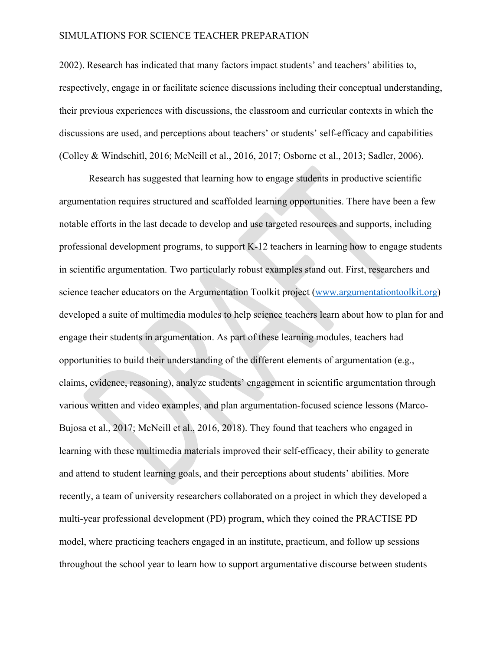2002). Research has indicated that many factors impact students' and teachers' abilities to, respectively, engage in or facilitate science discussions including their conceptual understanding, their previous experiences with discussions, the classroom and curricular contexts in which the discussions are used, and perceptions about teachers' or students' self-efficacy and capabilities (Colley & Windschitl, 2016; McNeill et al., 2016, 2017; Osborne et al., 2013; Sadler, 2006).

Research has suggested that learning how to engage students in productive scientific argumentation requires structured and scaffolded learning opportunities. There have been a few notable efforts in the last decade to develop and use targeted resources and supports, including professional development programs, to support K-12 teachers in learning how to engage students in scientific argumentation. Two particularly robust examples stand out. First, researchers and science teacher educators on the Argumentation Toolkit project [\(www.argumentationtoolkit.org\)](http://www.argumentationtoolkit.org/) developed a suite of multimedia modules to help science teachers learn about how to plan for and engage their students in argumentation. As part of these learning modules, teachers had opportunities to build their understanding of the different elements of argumentation (e.g., claims, evidence, reasoning), analyze students' engagement in scientific argumentation through various written and video examples, and plan argumentation-focused science lessons (Marco-Bujosa et al., 2017; McNeill et al., 2016, 2018). They found that teachers who engaged in learning with these multimedia materials improved their self-efficacy, their ability to generate and attend to student learning goals, and their perceptions about students' abilities. More recently, a team of university researchers collaborated on a project in which they developed a multi-year professional development (PD) program, which they coined the PRACTISE PD model, where practicing teachers engaged in an institute, practicum, and follow up sessions throughout the school year to learn how to support argumentative discourse between students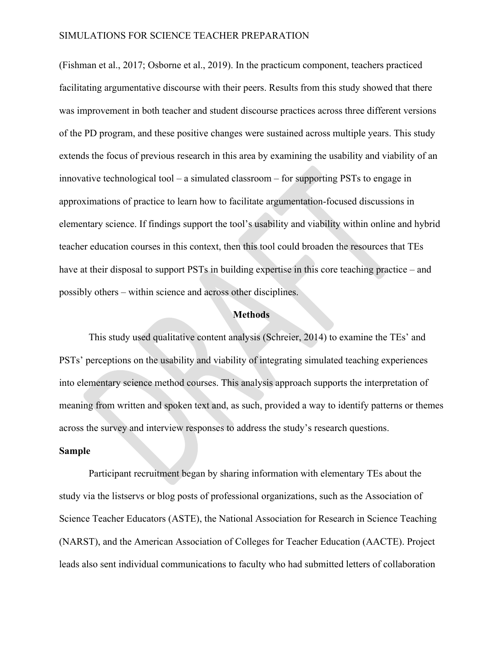(Fishman et al., 2017; Osborne et al., 2019). In the practicum component, teachers practiced facilitating argumentative discourse with their peers. Results from this study showed that there was improvement in both teacher and student discourse practices across three different versions of the PD program, and these positive changes were sustained across multiple years. This study extends the focus of previous research in this area by examining the usability and viability of an innovative technological tool – a simulated classroom – for supporting PSTs to engage in approximations of practice to learn how to facilitate argumentation-focused discussions in elementary science. If findings support the tool's usability and viability within online and hybrid teacher education courses in this context, then this tool could broaden the resources that TEs have at their disposal to support PSTs in building expertise in this core teaching practice – and possibly others – within science and across other disciplines.

#### **Methods**

This study used qualitative content analysis (Schreier, 2014) to examine the TEs' and PSTs' perceptions on the usability and viability of integrating simulated teaching experiences into elementary science method courses. This analysis approach supports the interpretation of meaning from written and spoken text and, as such, provided a way to identify patterns or themes across the survey and interview responses to address the study's research questions.

#### **Sample**

Participant recruitment began by sharing information with elementary TEs about the study via the listservs or blog posts of professional organizations, such as the Association of Science Teacher Educators (ASTE), the National Association for Research in Science Teaching (NARST), and the American Association of Colleges for Teacher Education (AACTE). Project leads also sent individual communications to faculty who had submitted letters of collaboration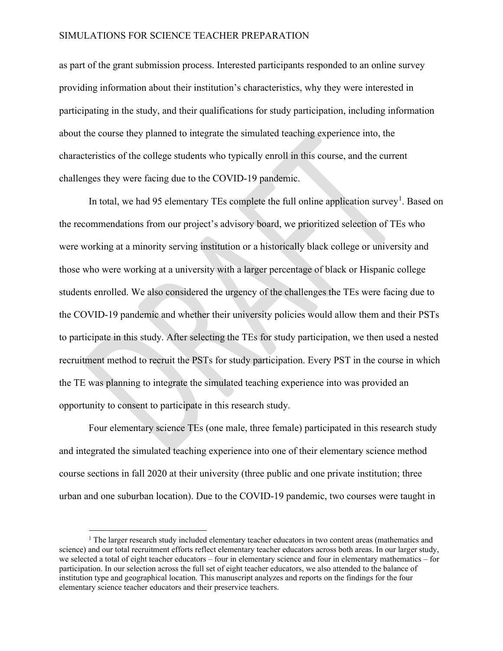as part of the grant submission process. Interested participants responded to an online survey providing information about their institution's characteristics, why they were interested in participating in the study, and their qualifications for study participation, including information about the course they planned to integrate the simulated teaching experience into, the characteristics of the college students who typically enroll in this course, and the current challenges they were facing due to the COVID-19 pandemic.

In total, we had 95 elementary TEs complete the full online application survey<sup>[1](#page-10-0)</sup>. Based on the recommendations from our project's advisory board, we prioritized selection of TEs who were working at a minority serving institution or a historically black college or university and those who were working at a university with a larger percentage of black or Hispanic college students enrolled. We also considered the urgency of the challenges the TEs were facing due to the COVID-19 pandemic and whether their university policies would allow them and their PSTs to participate in this study. After selecting the TEs for study participation, we then used a nested recruitment method to recruit the PSTs for study participation. Every PST in the course in which the TE was planning to integrate the simulated teaching experience into was provided an opportunity to consent to participate in this research study.

Four elementary science TEs (one male, three female) participated in this research study and integrated the simulated teaching experience into one of their elementary science method course sections in fall 2020 at their university (three public and one private institution; three urban and one suburban location). Due to the COVID-19 pandemic, two courses were taught in

<span id="page-10-0"></span> $<sup>1</sup>$  The larger research study included elementary teacher educators in two content areas (mathematics and</sup> science) and our total recruitment efforts reflect elementary teacher educators across both areas. In our larger study, we selected a total of eight teacher educators – four in elementary science and four in elementary mathematics – for participation. In our selection across the full set of eight teacher educators, we also attended to the balance of institution type and geographical location. This manuscript analyzes and reports on the findings for the four elementary science teacher educators and their preservice teachers.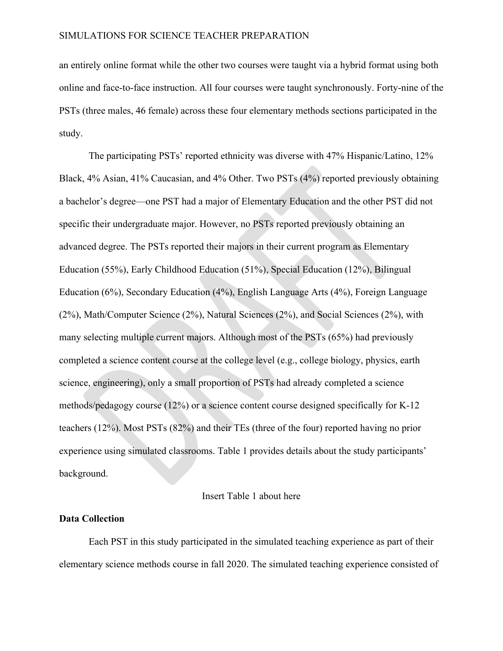an entirely online format while the other two courses were taught via a hybrid format using both online and face-to-face instruction. All four courses were taught synchronously. Forty-nine of the PSTs (three males, 46 female) across these four elementary methods sections participated in the study.

The participating PSTs' reported ethnicity was diverse with 47% Hispanic/Latino, 12% Black, 4% Asian, 41% Caucasian, and 4% Other. Two PSTs (4%) reported previously obtaining a bachelor's degree—one PST had a major of Elementary Education and the other PST did not specific their undergraduate major. However, no PSTs reported previously obtaining an advanced degree. The PSTs reported their majors in their current program as Elementary Education (55%), Early Childhood Education (51%), Special Education (12%), Bilingual Education (6%), Secondary Education (4%), English Language Arts (4%), Foreign Language (2%), Math/Computer Science (2%), Natural Sciences (2%), and Social Sciences (2%), with many selecting multiple current majors. Although most of the PSTs (65%) had previously completed a science content course at the college level (e.g., college biology, physics, earth science, engineering), only a small proportion of PSTs had already completed a science methods/pedagogy course (12%) or a science content course designed specifically for K-12 teachers (12%). Most PSTs (82%) and their TEs (three of the four) reported having no prior experience using simulated classrooms. Table 1 provides details about the study participants' background.

#### Insert Table 1 about here

#### **Data Collection**

Each PST in this study participated in the simulated teaching experience as part of their elementary science methods course in fall 2020. The simulated teaching experience consisted of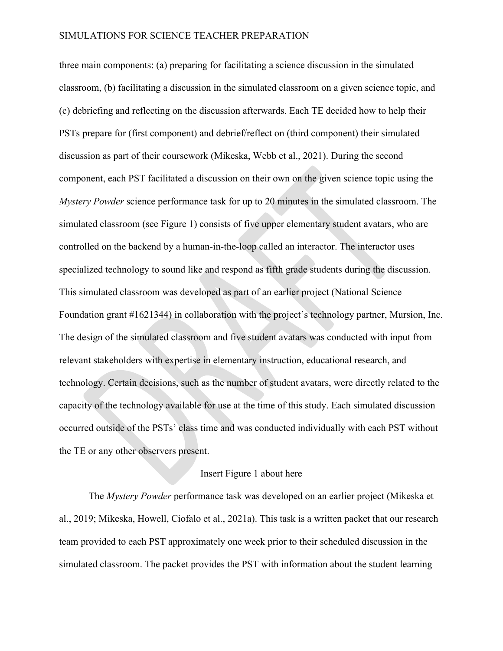three main components: (a) preparing for facilitating a science discussion in the simulated classroom, (b) facilitating a discussion in the simulated classroom on a given science topic, and (c) debriefing and reflecting on the discussion afterwards. Each TE decided how to help their PSTs prepare for (first component) and debrief/reflect on (third component) their simulated discussion as part of their coursework (Mikeska, Webb et al., 2021). During the second component, each PST facilitated a discussion on their own on the given science topic using the *Mystery Powder* science performance task for up to 20 minutes in the simulated classroom. The simulated classroom (see Figure 1) consists of five upper elementary student avatars, who are controlled on the backend by a human-in-the-loop called an interactor. The interactor uses specialized technology to sound like and respond as fifth grade students during the discussion. This simulated classroom was developed as part of an earlier project (National Science Foundation grant #1621344) in collaboration with the project's technology partner, Mursion, Inc. The design of the simulated classroom and five student avatars was conducted with input from relevant stakeholders with expertise in elementary instruction, educational research, and technology. Certain decisions, such as the number of student avatars, were directly related to the capacity of the technology available for use at the time of this study. Each simulated discussion occurred outside of the PSTs' class time and was conducted individually with each PST without the TE or any other observers present.

#### Insert Figure 1 about here

The *Mystery Powder* performance task was developed on an earlier project (Mikeska et al., 2019; Mikeska, Howell, Ciofalo et al., 2021a). This task is a written packet that our research team provided to each PST approximately one week prior to their scheduled discussion in the simulated classroom. The packet provides the PST with information about the student learning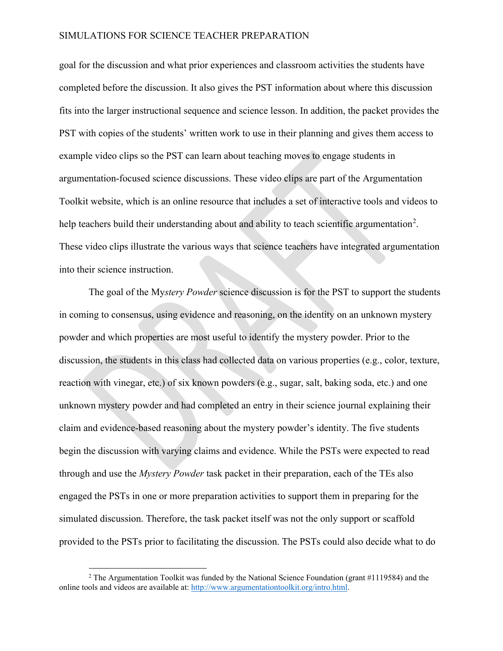goal for the discussion and what prior experiences and classroom activities the students have completed before the discussion. It also gives the PST information about where this discussion fits into the larger instructional sequence and science lesson. In addition, the packet provides the PST with copies of the students' written work to use in their planning and gives them access to example video clips so the PST can learn about teaching moves to engage students in argumentation-focused science discussions. These video clips are part of the Argumentation Toolkit website, which is an online resource that includes a set of interactive tools and videos to help teachers build their understanding about and ability to teach scientific argumentation<sup>[2](#page-13-0)</sup>. These video clips illustrate the various ways that science teachers have integrated argumentation into their science instruction.

The goal of the My*stery Powder* science discussion is for the PST to support the students in coming to consensus, using evidence and reasoning, on the identity on an unknown mystery powder and which properties are most useful to identify the mystery powder. Prior to the discussion, the students in this class had collected data on various properties (e.g., color, texture, reaction with vinegar, etc.) of six known powders (e.g., sugar, salt, baking soda, etc.) and one unknown mystery powder and had completed an entry in their science journal explaining their claim and evidence-based reasoning about the mystery powder's identity. The five students begin the discussion with varying claims and evidence. While the PSTs were expected to read through and use the *Mystery Powder* task packet in their preparation, each of the TEs also engaged the PSTs in one or more preparation activities to support them in preparing for the simulated discussion. Therefore, the task packet itself was not the only support or scaffold provided to the PSTs prior to facilitating the discussion. The PSTs could also decide what to do

<span id="page-13-0"></span><sup>&</sup>lt;sup>2</sup> The Argumentation Toolkit was funded by the National Science Foundation (grant  $\#1119584$ ) and the online tools and videos are available at: [http://www.argumentationtoolkit.org/intro.html.](http://www.argumentationtoolkit.org/intro.html)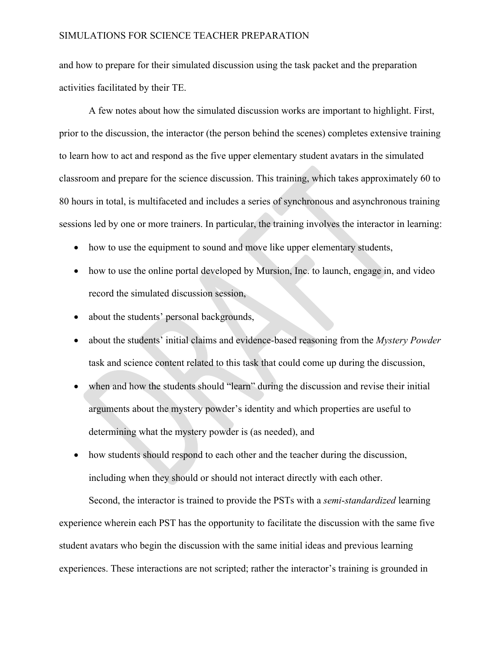and how to prepare for their simulated discussion using the task packet and the preparation activities facilitated by their TE.

A few notes about how the simulated discussion works are important to highlight. First, prior to the discussion, the interactor (the person behind the scenes) completes extensive training to learn how to act and respond as the five upper elementary student avatars in the simulated classroom and prepare for the science discussion. This training, which takes approximately 60 to 80 hours in total, is multifaceted and includes a series of synchronous and asynchronous training sessions led by one or more trainers. In particular, the training involves the interactor in learning:

- how to use the equipment to sound and move like upper elementary students,
- how to use the online portal developed by Mursion, Inc. to launch, engage in, and video record the simulated discussion session,
- about the students' personal backgrounds,
- about the students' initial claims and evidence-based reasoning from the *Mystery Powder* task and science content related to this task that could come up during the discussion,
- when and how the students should "learn" during the discussion and revise their initial arguments about the mystery powder's identity and which properties are useful to determining what the mystery powder is (as needed), and
- how students should respond to each other and the teacher during the discussion, including when they should or should not interact directly with each other.

Second, the interactor is trained to provide the PSTs with a *semi*-*standardized* learning experience wherein each PST has the opportunity to facilitate the discussion with the same five student avatars who begin the discussion with the same initial ideas and previous learning experiences. These interactions are not scripted; rather the interactor's training is grounded in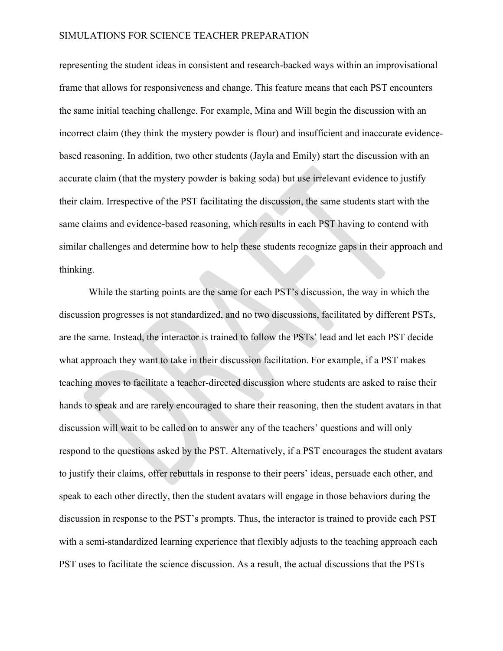representing the student ideas in consistent and research-backed ways within an improvisational frame that allows for responsiveness and change. This feature means that each PST encounters the same initial teaching challenge. For example, Mina and Will begin the discussion with an incorrect claim (they think the mystery powder is flour) and insufficient and inaccurate evidencebased reasoning. In addition, two other students (Jayla and Emily) start the discussion with an accurate claim (that the mystery powder is baking soda) but use irrelevant evidence to justify their claim. Irrespective of the PST facilitating the discussion, the same students start with the same claims and evidence-based reasoning, which results in each PST having to contend with similar challenges and determine how to help these students recognize gaps in their approach and thinking.

While the starting points are the same for each PST's discussion, the way in which the discussion progresses is not standardized, and no two discussions, facilitated by different PSTs, are the same. Instead, the interactor is trained to follow the PSTs' lead and let each PST decide what approach they want to take in their discussion facilitation. For example, if a PST makes teaching moves to facilitate a teacher-directed discussion where students are asked to raise their hands to speak and are rarely encouraged to share their reasoning, then the student avatars in that discussion will wait to be called on to answer any of the teachers' questions and will only respond to the questions asked by the PST. Alternatively, if a PST encourages the student avatars to justify their claims, offer rebuttals in response to their peers' ideas, persuade each other, and speak to each other directly, then the student avatars will engage in those behaviors during the discussion in response to the PST's prompts. Thus, the interactor is trained to provide each PST with a semi-standardized learning experience that flexibly adjusts to the teaching approach each PST uses to facilitate the science discussion. As a result, the actual discussions that the PSTs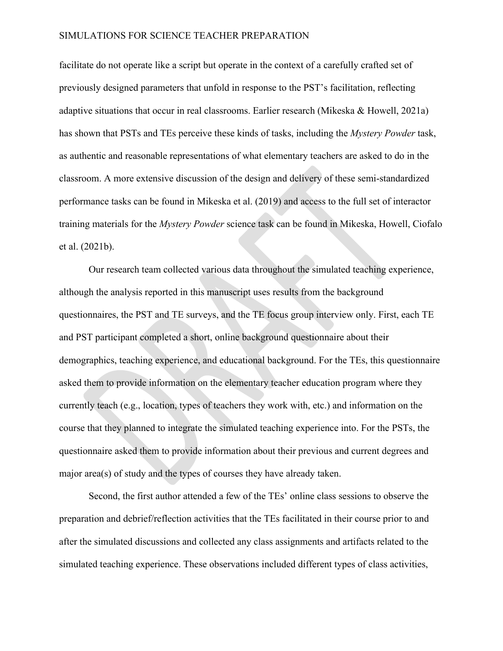facilitate do not operate like a script but operate in the context of a carefully crafted set of previously designed parameters that unfold in response to the PST's facilitation, reflecting adaptive situations that occur in real classrooms. Earlier research (Mikeska & Howell, 2021a) has shown that PSTs and TEs perceive these kinds of tasks, including the *Mystery Powder* task, as authentic and reasonable representations of what elementary teachers are asked to do in the classroom. A more extensive discussion of the design and delivery of these semi-standardized performance tasks can be found in Mikeska et al. (2019) and access to the full set of interactor training materials for the *Mystery Powder* science task can be found in Mikeska, Howell, Ciofalo et al. (2021b).

Our research team collected various data throughout the simulated teaching experience, although the analysis reported in this manuscript uses results from the background questionnaires, the PST and TE surveys, and the TE focus group interview only. First, each TE and PST participant completed a short, online background questionnaire about their demographics, teaching experience, and educational background. For the TEs, this questionnaire asked them to provide information on the elementary teacher education program where they currently teach (e.g., location, types of teachers they work with, etc.) and information on the course that they planned to integrate the simulated teaching experience into. For the PSTs, the questionnaire asked them to provide information about their previous and current degrees and major area(s) of study and the types of courses they have already taken.

Second, the first author attended a few of the TEs' online class sessions to observe the preparation and debrief/reflection activities that the TEs facilitated in their course prior to and after the simulated discussions and collected any class assignments and artifacts related to the simulated teaching experience. These observations included different types of class activities,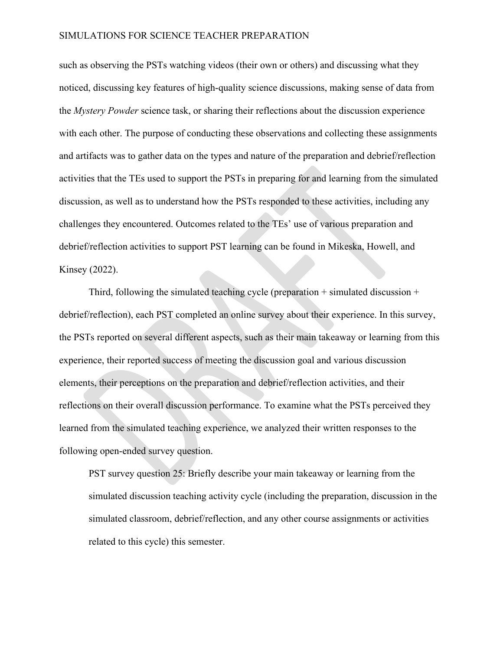such as observing the PSTs watching videos (their own or others) and discussing what they noticed, discussing key features of high-quality science discussions, making sense of data from the *Mystery Powder* science task, or sharing their reflections about the discussion experience with each other. The purpose of conducting these observations and collecting these assignments and artifacts was to gather data on the types and nature of the preparation and debrief/reflection activities that the TEs used to support the PSTs in preparing for and learning from the simulated discussion, as well as to understand how the PSTs responded to these activities, including any challenges they encountered. Outcomes related to the TEs' use of various preparation and debrief/reflection activities to support PST learning can be found in Mikeska, Howell, and Kinsey (2022).

Third, following the simulated teaching cycle (preparation  $+$  simulated discussion  $+$ debrief/reflection), each PST completed an online survey about their experience. In this survey, the PSTs reported on several different aspects, such as their main takeaway or learning from this experience, their reported success of meeting the discussion goal and various discussion elements, their perceptions on the preparation and debrief/reflection activities, and their reflections on their overall discussion performance. To examine what the PSTs perceived they learned from the simulated teaching experience, we analyzed their written responses to the following open-ended survey question.

PST survey question 25: Briefly describe your main takeaway or learning from the simulated discussion teaching activity cycle (including the preparation, discussion in the simulated classroom, debrief/reflection, and any other course assignments or activities related to this cycle) this semester.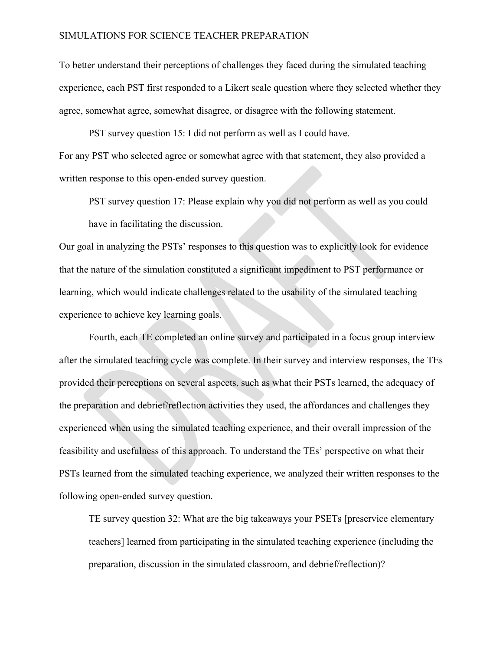To better understand their perceptions of challenges they faced during the simulated teaching experience, each PST first responded to a Likert scale question where they selected whether they agree, somewhat agree, somewhat disagree, or disagree with the following statement.

PST survey question 15: I did not perform as well as I could have. For any PST who selected agree or somewhat agree with that statement, they also provided a written response to this open-ended survey question.

PST survey question 17: Please explain why you did not perform as well as you could have in facilitating the discussion.

Our goal in analyzing the PSTs' responses to this question was to explicitly look for evidence that the nature of the simulation constituted a significant impediment to PST performance or learning, which would indicate challenges related to the usability of the simulated teaching experience to achieve key learning goals.

Fourth, each TE completed an online survey and participated in a focus group interview after the simulated teaching cycle was complete. In their survey and interview responses, the TEs provided their perceptions on several aspects, such as what their PSTs learned, the adequacy of the preparation and debrief/reflection activities they used, the affordances and challenges they experienced when using the simulated teaching experience, and their overall impression of the feasibility and usefulness of this approach. To understand the TEs' perspective on what their PSTs learned from the simulated teaching experience, we analyzed their written responses to the following open-ended survey question.

TE survey question 32: What are the big takeaways your PSETs [preservice elementary teachers] learned from participating in the simulated teaching experience (including the preparation, discussion in the simulated classroom, and debrief/reflection)?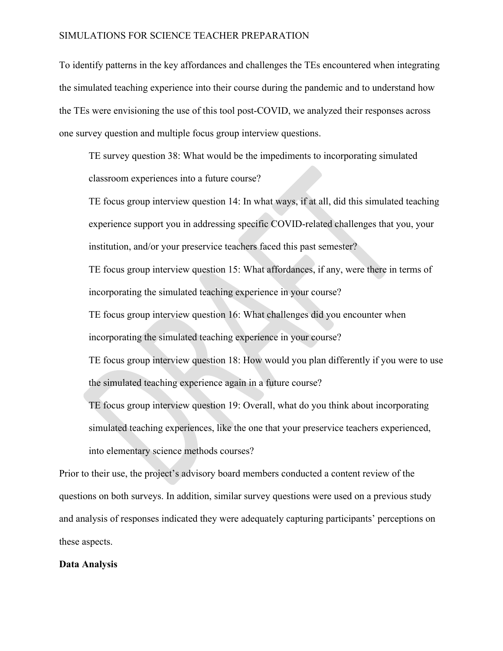To identify patterns in the key affordances and challenges the TEs encountered when integrating the simulated teaching experience into their course during the pandemic and to understand how the TEs were envisioning the use of this tool post-COVID, we analyzed their responses across one survey question and multiple focus group interview questions.

TE survey question 38: What would be the impediments to incorporating simulated classroom experiences into a future course?

TE focus group interview question 14: In what ways, if at all, did this simulated teaching experience support you in addressing specific COVID-related challenges that you, your institution, and/or your preservice teachers faced this past semester?

TE focus group interview question 15: What affordances, if any, were there in terms of incorporating the simulated teaching experience in your course?

TE focus group interview question 16: What challenges did you encounter when incorporating the simulated teaching experience in your course?

TE focus group interview question 18: How would you plan differently if you were to use the simulated teaching experience again in a future course?

TE focus group interview question 19: Overall, what do you think about incorporating simulated teaching experiences, like the one that your preservice teachers experienced, into elementary science methods courses?

Prior to their use, the project's advisory board members conducted a content review of the questions on both surveys. In addition, similar survey questions were used on a previous study and analysis of responses indicated they were adequately capturing participants' perceptions on these aspects.

#### **Data Analysis**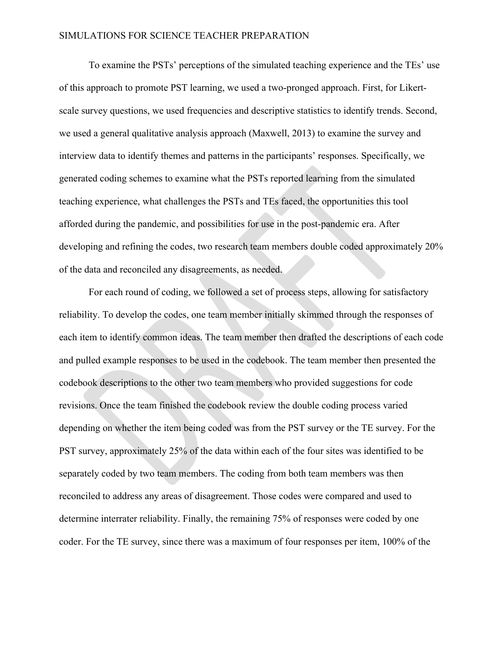To examine the PSTs' perceptions of the simulated teaching experience and the TEs' use of this approach to promote PST learning, we used a two-pronged approach. First, for Likertscale survey questions, we used frequencies and descriptive statistics to identify trends. Second, we used a general qualitative analysis approach (Maxwell, 2013) to examine the survey and interview data to identify themes and patterns in the participants' responses. Specifically, we generated coding schemes to examine what the PSTs reported learning from the simulated teaching experience, what challenges the PSTs and TEs faced, the opportunities this tool afforded during the pandemic, and possibilities for use in the post-pandemic era. After developing and refining the codes, two research team members double coded approximately 20% of the data and reconciled any disagreements, as needed.

For each round of coding, we followed a set of process steps, allowing for satisfactory reliability. To develop the codes, one team member initially skimmed through the responses of each item to identify common ideas. The team member then drafted the descriptions of each code and pulled example responses to be used in the codebook. The team member then presented the codebook descriptions to the other two team members who provided suggestions for code revisions. Once the team finished the codebook review the double coding process varied depending on whether the item being coded was from the PST survey or the TE survey. For the PST survey, approximately 25% of the data within each of the four sites was identified to be separately coded by two team members. The coding from both team members was then reconciled to address any areas of disagreement. Those codes were compared and used to determine interrater reliability. Finally, the remaining 75% of responses were coded by one coder. For the TE survey, since there was a maximum of four responses per item, 100% of the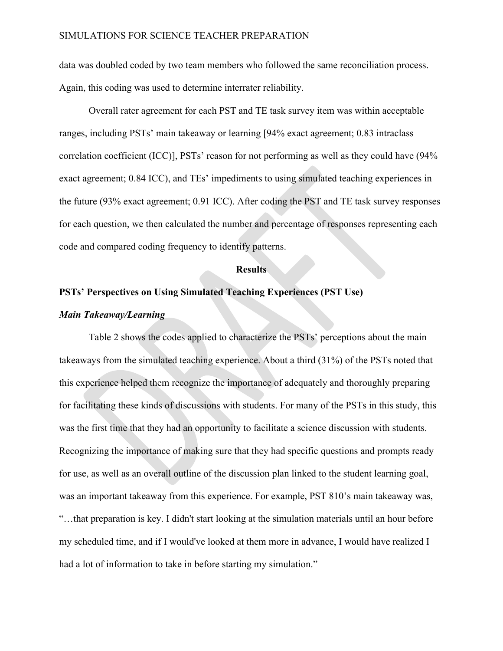data was doubled coded by two team members who followed the same reconciliation process. Again, this coding was used to determine interrater reliability.

Overall rater agreement for each PST and TE task survey item was within acceptable ranges, including PSTs' main takeaway or learning [94% exact agreement; 0.83 intraclass correlation coefficient (ICC)], PSTs' reason for not performing as well as they could have (94% exact agreement; 0.84 ICC), and TEs' impediments to using simulated teaching experiences in the future (93% exact agreement; 0.91 ICC). After coding the PST and TE task survey responses for each question, we then calculated the number and percentage of responses representing each code and compared coding frequency to identify patterns.

#### **Results**

#### **PSTs' Perspectives on Using Simulated Teaching Experiences (PST Use)**

#### *Main Takeaway/Learning*

Table 2 shows the codes applied to characterize the PSTs' perceptions about the main takeaways from the simulated teaching experience. About a third (31%) of the PSTs noted that this experience helped them recognize the importance of adequately and thoroughly preparing for facilitating these kinds of discussions with students. For many of the PSTs in this study, this was the first time that they had an opportunity to facilitate a science discussion with students. Recognizing the importance of making sure that they had specific questions and prompts ready for use, as well as an overall outline of the discussion plan linked to the student learning goal, was an important takeaway from this experience. For example, PST 810's main takeaway was, "…that preparation is key. I didn't start looking at the simulation materials until an hour before my scheduled time, and if I would've looked at them more in advance, I would have realized I had a lot of information to take in before starting my simulation."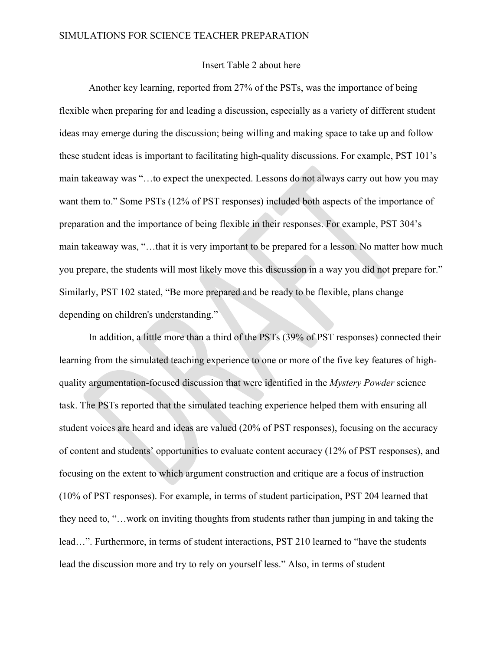### Insert Table 2 about here

Another key learning, reported from 27% of the PSTs, was the importance of being flexible when preparing for and leading a discussion, especially as a variety of different student ideas may emerge during the discussion; being willing and making space to take up and follow these student ideas is important to facilitating high-quality discussions. For example, PST 101's main takeaway was "…to expect the unexpected. Lessons do not always carry out how you may want them to." Some PSTs (12% of PST responses) included both aspects of the importance of preparation and the importance of being flexible in their responses. For example, PST 304's main takeaway was, "…that it is very important to be prepared for a lesson. No matter how much you prepare, the students will most likely move this discussion in a way you did not prepare for." Similarly, PST 102 stated, "Be more prepared and be ready to be flexible, plans change depending on children's understanding."

In addition, a little more than a third of the PSTs (39% of PST responses) connected their learning from the simulated teaching experience to one or more of the five key features of highquality argumentation-focused discussion that were identified in the *Mystery Powder* science task. The PSTs reported that the simulated teaching experience helped them with ensuring all student voices are heard and ideas are valued (20% of PST responses), focusing on the accuracy of content and students' opportunities to evaluate content accuracy (12% of PST responses), and focusing on the extent to which argument construction and critique are a focus of instruction (10% of PST responses). For example, in terms of student participation, PST 204 learned that they need to, "…work on inviting thoughts from students rather than jumping in and taking the lead…". Furthermore, in terms of student interactions, PST 210 learned to "have the students lead the discussion more and try to rely on yourself less." Also, in terms of student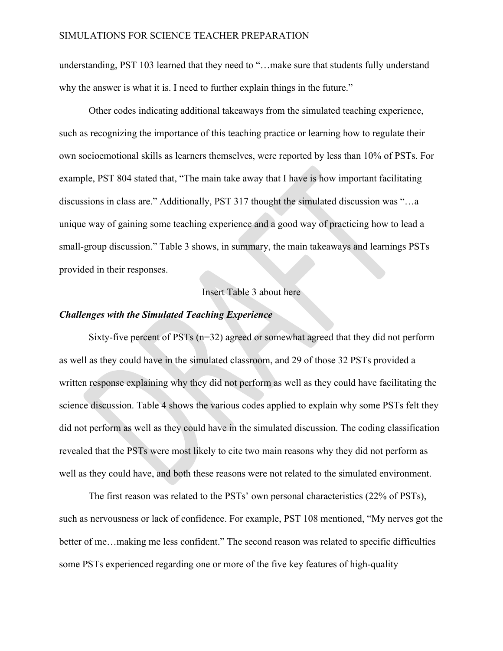understanding, PST 103 learned that they need to "…make sure that students fully understand why the answer is what it is. I need to further explain things in the future."

Other codes indicating additional takeaways from the simulated teaching experience, such as recognizing the importance of this teaching practice or learning how to regulate their own socioemotional skills as learners themselves, were reported by less than 10% of PSTs. For example, PST 804 stated that, "The main take away that I have is how important facilitating discussions in class are." Additionally, PST 317 thought the simulated discussion was "…a unique way of gaining some teaching experience and a good way of practicing how to lead a small-group discussion." Table 3 shows, in summary, the main takeaways and learnings PSTs provided in their responses.

#### Insert Table 3 about here

#### *Challenges with the Simulated Teaching Experience*

Sixty-five percent of PSTs (n=32) agreed or somewhat agreed that they did not perform as well as they could have in the simulated classroom, and 29 of those 32 PSTs provided a written response explaining why they did not perform as well as they could have facilitating the science discussion. Table 4 shows the various codes applied to explain why some PSTs felt they did not perform as well as they could have in the simulated discussion. The coding classification revealed that the PSTs were most likely to cite two main reasons why they did not perform as well as they could have, and both these reasons were not related to the simulated environment.

The first reason was related to the PSTs' own personal characteristics (22% of PSTs), such as nervousness or lack of confidence. For example, PST 108 mentioned, "My nerves got the better of me…making me less confident." The second reason was related to specific difficulties some PSTs experienced regarding one or more of the five key features of high-quality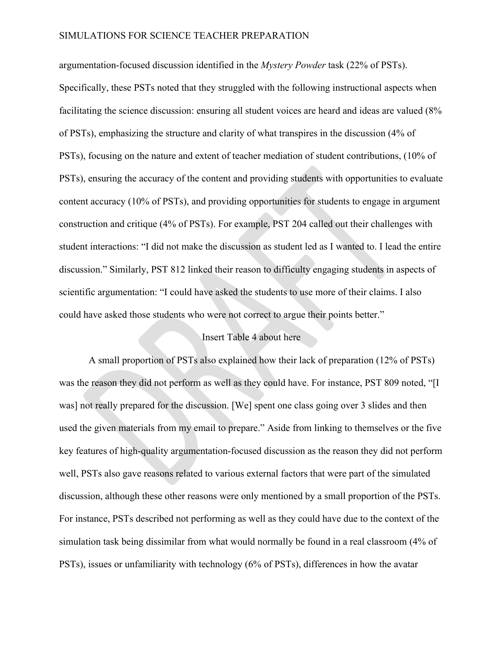argumentation-focused discussion identified in the *Mystery Powder* task (22% of PSTs). Specifically, these PSTs noted that they struggled with the following instructional aspects when facilitating the science discussion: ensuring all student voices are heard and ideas are valued (8% of PSTs), emphasizing the structure and clarity of what transpires in the discussion (4% of PSTs), focusing on the nature and extent of teacher mediation of student contributions, (10% of PSTs), ensuring the accuracy of the content and providing students with opportunities to evaluate content accuracy (10% of PSTs), and providing opportunities for students to engage in argument construction and critique (4% of PSTs). For example, PST 204 called out their challenges with student interactions: "I did not make the discussion as student led as I wanted to. I lead the entire discussion." Similarly, PST 812 linked their reason to difficulty engaging students in aspects of scientific argumentation: "I could have asked the students to use more of their claims. I also could have asked those students who were not correct to argue their points better."

### Insert Table 4 about here

A small proportion of PSTs also explained how their lack of preparation (12% of PSTs) was the reason they did not perform as well as they could have. For instance, PST 809 noted, "[I was] not really prepared for the discussion. [We] spent one class going over 3 slides and then used the given materials from my email to prepare." Aside from linking to themselves or the five key features of high-quality argumentation-focused discussion as the reason they did not perform well, PSTs also gave reasons related to various external factors that were part of the simulated discussion, although these other reasons were only mentioned by a small proportion of the PSTs. For instance, PSTs described not performing as well as they could have due to the context of the simulation task being dissimilar from what would normally be found in a real classroom (4% of PSTs), issues or unfamiliarity with technology (6% of PSTs), differences in how the avatar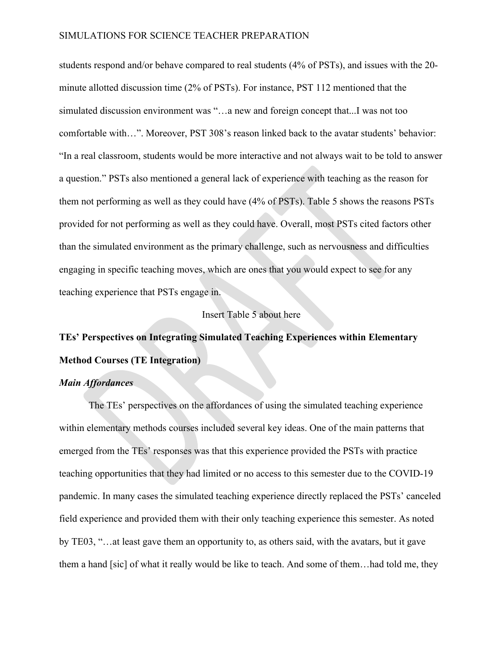students respond and/or behave compared to real students (4% of PSTs), and issues with the 20 minute allotted discussion time (2% of PSTs). For instance, PST 112 mentioned that the simulated discussion environment was "…a new and foreign concept that...I was not too comfortable with…". Moreover, PST 308's reason linked back to the avatar students' behavior: "In a real classroom, students would be more interactive and not always wait to be told to answer a question." PSTs also mentioned a general lack of experience with teaching as the reason for them not performing as well as they could have (4% of PSTs). Table 5 shows the reasons PSTs provided for not performing as well as they could have. Overall, most PSTs cited factors other than the simulated environment as the primary challenge, such as nervousness and difficulties engaging in specific teaching moves, which are ones that you would expect to see for any teaching experience that PSTs engage in.

#### Insert Table 5 about here

# **TEs' Perspectives on Integrating Simulated Teaching Experiences within Elementary Method Courses (TE Integration)**

#### *Main Affordances*

The TEs' perspectives on the affordances of using the simulated teaching experience within elementary methods courses included several key ideas. One of the main patterns that emerged from the TEs' responses was that this experience provided the PSTs with practice teaching opportunities that they had limited or no access to this semester due to the COVID-19 pandemic. In many cases the simulated teaching experience directly replaced the PSTs' canceled field experience and provided them with their only teaching experience this semester. As noted by TE03, "…at least gave them an opportunity to, as others said, with the avatars, but it gave them a hand [sic] of what it really would be like to teach. And some of them…had told me, they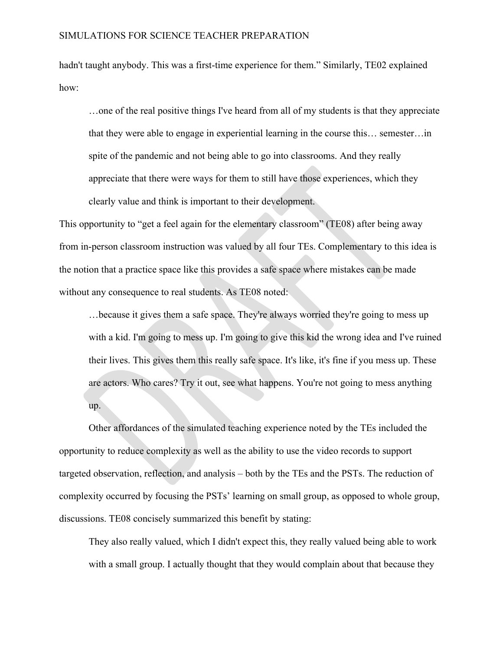hadn't taught anybody. This was a first-time experience for them." Similarly, TE02 explained how:

…one of the real positive things I've heard from all of my students is that they appreciate that they were able to engage in experiential learning in the course this… semester…in spite of the pandemic and not being able to go into classrooms. And they really appreciate that there were ways for them to still have those experiences, which they clearly value and think is important to their development.

This opportunity to "get a feel again for the elementary classroom" (TE08) after being away from in-person classroom instruction was valued by all four TEs. Complementary to this idea is the notion that a practice space like this provides a safe space where mistakes can be made without any consequence to real students. As TE08 noted:

…because it gives them a safe space. They're always worried they're going to mess up with a kid. I'm going to mess up. I'm going to give this kid the wrong idea and I've ruined their lives. This gives them this really safe space. It's like, it's fine if you mess up. These are actors. Who cares? Try it out, see what happens. You're not going to mess anything up.

Other affordances of the simulated teaching experience noted by the TEs included the opportunity to reduce complexity as well as the ability to use the video records to support targeted observation, reflection, and analysis – both by the TEs and the PSTs. The reduction of complexity occurred by focusing the PSTs' learning on small group, as opposed to whole group, discussions. TE08 concisely summarized this benefit by stating:

They also really valued, which I didn't expect this, they really valued being able to work with a small group. I actually thought that they would complain about that because they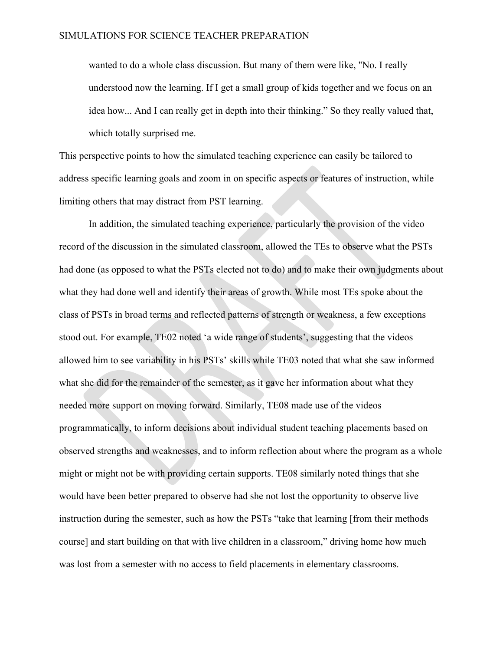wanted to do a whole class discussion. But many of them were like, "No. I really understood now the learning. If I get a small group of kids together and we focus on an idea how... And I can really get in depth into their thinking." So they really valued that, which totally surprised me.

This perspective points to how the simulated teaching experience can easily be tailored to address specific learning goals and zoom in on specific aspects or features of instruction, while limiting others that may distract from PST learning.

In addition, the simulated teaching experience, particularly the provision of the video record of the discussion in the simulated classroom, allowed the TEs to observe what the PSTs had done (as opposed to what the PSTs elected not to do) and to make their own judgments about what they had done well and identify their areas of growth. While most TEs spoke about the class of PSTs in broad terms and reflected patterns of strength or weakness, a few exceptions stood out. For example, TE02 noted 'a wide range of students', suggesting that the videos allowed him to see variability in his PSTs' skills while TE03 noted that what she saw informed what she did for the remainder of the semester, as it gave her information about what they needed more support on moving forward. Similarly, TE08 made use of the videos programmatically, to inform decisions about individual student teaching placements based on observed strengths and weaknesses, and to inform reflection about where the program as a whole might or might not be with providing certain supports. TE08 similarly noted things that she would have been better prepared to observe had she not lost the opportunity to observe live instruction during the semester, such as how the PSTs "take that learning [from their methods course] and start building on that with live children in a classroom," driving home how much was lost from a semester with no access to field placements in elementary classrooms.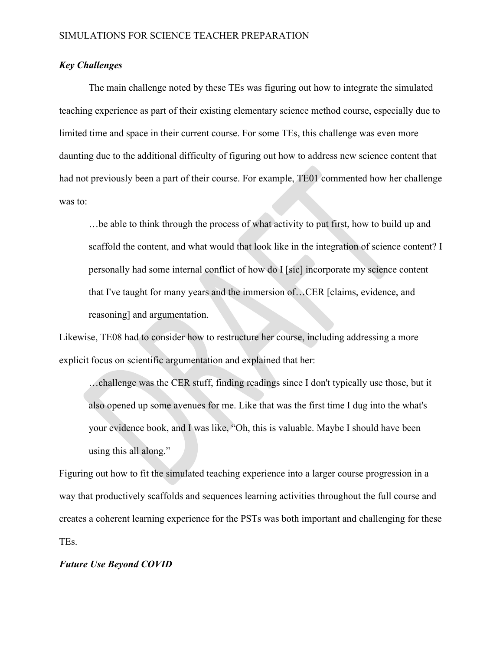### *Key Challenges*

The main challenge noted by these TEs was figuring out how to integrate the simulated teaching experience as part of their existing elementary science method course, especially due to limited time and space in their current course. For some TEs, this challenge was even more daunting due to the additional difficulty of figuring out how to address new science content that had not previously been a part of their course. For example, TE01 commented how her challenge was to:

…be able to think through the process of what activity to put first, how to build up and scaffold the content, and what would that look like in the integration of science content? I personally had some internal conflict of how do I [sic] incorporate my science content that I've taught for many years and the immersion of…CER [claims, evidence, and reasoning] and argumentation.

Likewise, TE08 had to consider how to restructure her course, including addressing a more explicit focus on scientific argumentation and explained that her:

…challenge was the CER stuff, finding readings since I don't typically use those, but it also opened up some avenues for me. Like that was the first time I dug into the what's your evidence book, and I was like, "Oh, this is valuable. Maybe I should have been using this all along."

Figuring out how to fit the simulated teaching experience into a larger course progression in a way that productively scaffolds and sequences learning activities throughout the full course and creates a coherent learning experience for the PSTs was both important and challenging for these TEs.

#### *Future Use Beyond COVID*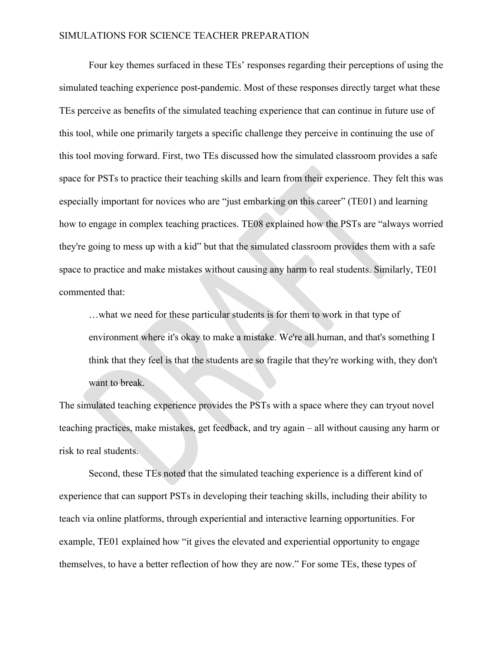Four key themes surfaced in these TEs' responses regarding their perceptions of using the simulated teaching experience post-pandemic. Most of these responses directly target what these TEs perceive as benefits of the simulated teaching experience that can continue in future use of this tool, while one primarily targets a specific challenge they perceive in continuing the use of this tool moving forward. First, two TEs discussed how the simulated classroom provides a safe space for PSTs to practice their teaching skills and learn from their experience. They felt this was especially important for novices who are "just embarking on this career" (TE01) and learning how to engage in complex teaching practices. TE08 explained how the PSTs are "always worried they're going to mess up with a kid" but that the simulated classroom provides them with a safe space to practice and make mistakes without causing any harm to real students. Similarly, TE01 commented that:

…what we need for these particular students is for them to work in that type of environment where it's okay to make a mistake. We're all human, and that's something I think that they feel is that the students are so fragile that they're working with, they don't want to break.

The simulated teaching experience provides the PSTs with a space where they can tryout novel teaching practices, make mistakes, get feedback, and try again – all without causing any harm or risk to real students.

Second, these TEs noted that the simulated teaching experience is a different kind of experience that can support PSTs in developing their teaching skills, including their ability to teach via online platforms, through experiential and interactive learning opportunities. For example, TE01 explained how "it gives the elevated and experiential opportunity to engage themselves, to have a better reflection of how they are now." For some TEs, these types of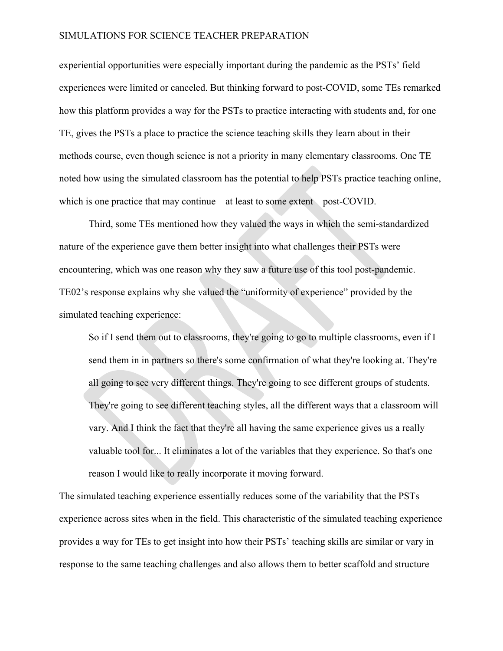experiential opportunities were especially important during the pandemic as the PSTs' field experiences were limited or canceled. But thinking forward to post-COVID, some TEs remarked how this platform provides a way for the PSTs to practice interacting with students and, for one TE, gives the PSTs a place to practice the science teaching skills they learn about in their methods course, even though science is not a priority in many elementary classrooms. One TE noted how using the simulated classroom has the potential to help PSTs practice teaching online, which is one practice that may continue – at least to some extent – post-COVID.

Third, some TEs mentioned how they valued the ways in which the semi-standardized nature of the experience gave them better insight into what challenges their PSTs were encountering, which was one reason why they saw a future use of this tool post-pandemic. TE02's response explains why she valued the "uniformity of experience" provided by the simulated teaching experience:

So if I send them out to classrooms, they're going to go to multiple classrooms, even if I send them in in partners so there's some confirmation of what they're looking at. They're all going to see very different things. They're going to see different groups of students. They're going to see different teaching styles, all the different ways that a classroom will vary. And I think the fact that they're all having the same experience gives us a really valuable tool for... It eliminates a lot of the variables that they experience. So that's one reason I would like to really incorporate it moving forward.

The simulated teaching experience essentially reduces some of the variability that the PSTs experience across sites when in the field. This characteristic of the simulated teaching experience provides a way for TEs to get insight into how their PSTs' teaching skills are similar or vary in response to the same teaching challenges and also allows them to better scaffold and structure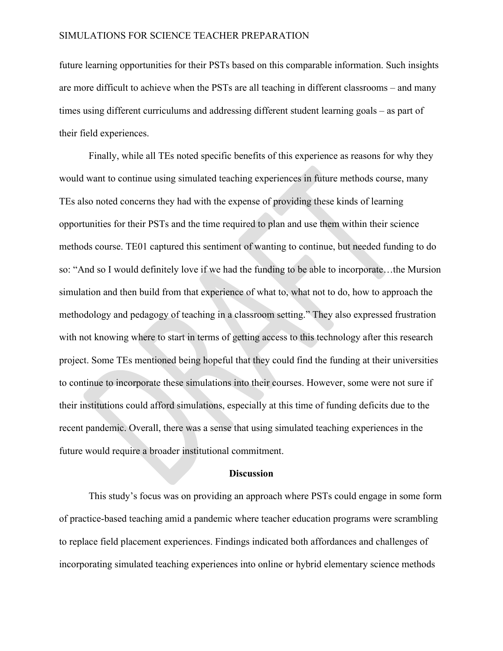future learning opportunities for their PSTs based on this comparable information. Such insights are more difficult to achieve when the PSTs are all teaching in different classrooms – and many times using different curriculums and addressing different student learning goals – as part of their field experiences.

Finally, while all TEs noted specific benefits of this experience as reasons for why they would want to continue using simulated teaching experiences in future methods course, many TEs also noted concerns they had with the expense of providing these kinds of learning opportunities for their PSTs and the time required to plan and use them within their science methods course. TE01 captured this sentiment of wanting to continue, but needed funding to do so: "And so I would definitely love if we had the funding to be able to incorporate…the Mursion simulation and then build from that experience of what to, what not to do, how to approach the methodology and pedagogy of teaching in a classroom setting." They also expressed frustration with not knowing where to start in terms of getting access to this technology after this research project. Some TEs mentioned being hopeful that they could find the funding at their universities to continue to incorporate these simulations into their courses. However, some were not sure if their institutions could afford simulations, especially at this time of funding deficits due to the recent pandemic. Overall, there was a sense that using simulated teaching experiences in the future would require a broader institutional commitment.

#### **Discussion**

This study's focus was on providing an approach where PSTs could engage in some form of practice-based teaching amid a pandemic where teacher education programs were scrambling to replace field placement experiences. Findings indicated both affordances and challenges of incorporating simulated teaching experiences into online or hybrid elementary science methods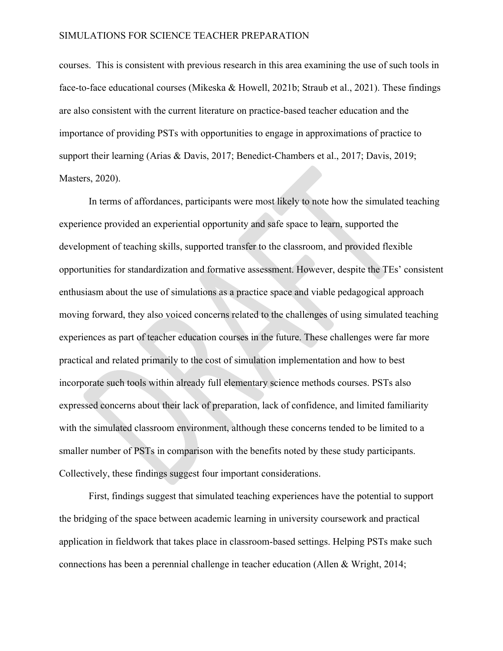courses. This is consistent with previous research in this area examining the use of such tools in face-to-face educational courses (Mikeska & Howell, 2021b; Straub et al., 2021). These findings are also consistent with the current literature on practice-based teacher education and the importance of providing PSTs with opportunities to engage in approximations of practice to support their learning (Arias & Davis, 2017; Benedict-Chambers et al., 2017; Davis, 2019; Masters, 2020).

In terms of affordances, participants were most likely to note how the simulated teaching experience provided an experiential opportunity and safe space to learn, supported the development of teaching skills, supported transfer to the classroom, and provided flexible opportunities for standardization and formative assessment. However, despite the TEs' consistent enthusiasm about the use of simulations as a practice space and viable pedagogical approach moving forward, they also voiced concerns related to the challenges of using simulated teaching experiences as part of teacher education courses in the future. These challenges were far more practical and related primarily to the cost of simulation implementation and how to best incorporate such tools within already full elementary science methods courses. PSTs also expressed concerns about their lack of preparation, lack of confidence, and limited familiarity with the simulated classroom environment, although these concerns tended to be limited to a smaller number of PSTs in comparison with the benefits noted by these study participants. Collectively, these findings suggest four important considerations.

First, findings suggest that simulated teaching experiences have the potential to support the bridging of the space between academic learning in university coursework and practical application in fieldwork that takes place in classroom-based settings. Helping PSTs make such connections has been a perennial challenge in teacher education (Allen & Wright, 2014;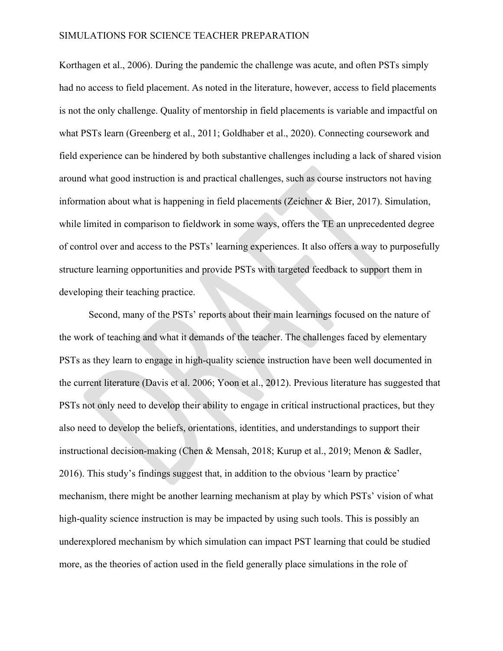Korthagen et al., 2006). During the pandemic the challenge was acute, and often PSTs simply had no access to field placement. As noted in the literature, however, access to field placements is not the only challenge. Quality of mentorship in field placements is variable and impactful on what PSTs learn (Greenberg et al., 2011; Goldhaber et al., 2020). Connecting coursework and field experience can be hindered by both substantive challenges including a lack of shared vision around what good instruction is and practical challenges, such as course instructors not having information about what is happening in field placements (Zeichner & Bier, 2017). Simulation, while limited in comparison to fieldwork in some ways, offers the TE an unprecedented degree of control over and access to the PSTs' learning experiences. It also offers a way to purposefully structure learning opportunities and provide PSTs with targeted feedback to support them in developing their teaching practice.

Second, many of the PSTs' reports about their main learnings focused on the nature of the work of teaching and what it demands of the teacher. The challenges faced by elementary PSTs as they learn to engage in high-quality science instruction have been well documented in the current literature (Davis et al. 2006; Yoon et al., 2012). Previous literature has suggested that PSTs not only need to develop their ability to engage in critical instructional practices, but they also need to develop the beliefs, orientations, identities, and understandings to support their instructional decision-making (Chen & Mensah, 2018; Kurup et al., 2019; Menon & Sadler, 2016). This study's findings suggest that, in addition to the obvious 'learn by practice' mechanism, there might be another learning mechanism at play by which PSTs' vision of what high-quality science instruction is may be impacted by using such tools. This is possibly an underexplored mechanism by which simulation can impact PST learning that could be studied more, as the theories of action used in the field generally place simulations in the role of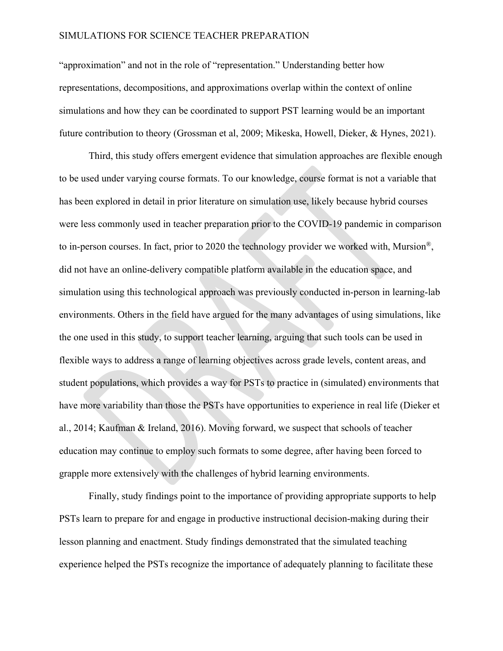"approximation" and not in the role of "representation." Understanding better how representations, decompositions, and approximations overlap within the context of online simulations and how they can be coordinated to support PST learning would be an important future contribution to theory (Grossman et al, 2009; Mikeska, Howell, Dieker, & Hynes, 2021).

Third, this study offers emergent evidence that simulation approaches are flexible enough to be used under varying course formats. To our knowledge, course format is not a variable that has been explored in detail in prior literature on simulation use, likely because hybrid courses were less commonly used in teacher preparation prior to the COVID-19 pandemic in comparison to in-person courses. In fact, prior to 2020 the technology provider we worked with, Mursion®, did not have an online-delivery compatible platform available in the education space, and simulation using this technological approach was previously conducted in-person in learning-lab environments. Others in the field have argued for the many advantages of using simulations, like the one used in this study, to support teacher learning, arguing that such tools can be used in flexible ways to address a range of learning objectives across grade levels, content areas, and student populations, which provides a way for PSTs to practice in (simulated) environments that have more variability than those the PSTs have opportunities to experience in real life (Dieker et al., 2014; Kaufman & Ireland, 2016). Moving forward, we suspect that schools of teacher education may continue to employ such formats to some degree, after having been forced to grapple more extensively with the challenges of hybrid learning environments.

Finally, study findings point to the importance of providing appropriate supports to help PSTs learn to prepare for and engage in productive instructional decision-making during their lesson planning and enactment. Study findings demonstrated that the simulated teaching experience helped the PSTs recognize the importance of adequately planning to facilitate these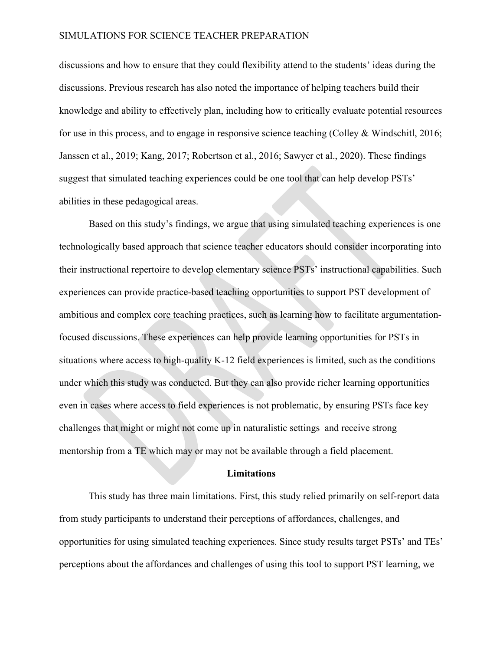discussions and how to ensure that they could flexibility attend to the students' ideas during the discussions. Previous research has also noted the importance of helping teachers build their knowledge and ability to effectively plan, including how to critically evaluate potential resources for use in this process, and to engage in responsive science teaching (Colley & Windschitl, 2016; Janssen et al., 2019; Kang, 2017; Robertson et al., 2016; Sawyer et al., 2020). These findings suggest that simulated teaching experiences could be one tool that can help develop PSTs' abilities in these pedagogical areas.

Based on this study's findings, we argue that using simulated teaching experiences is one technologically based approach that science teacher educators should consider incorporating into their instructional repertoire to develop elementary science PSTs' instructional capabilities. Such experiences can provide practice-based teaching opportunities to support PST development of ambitious and complex core teaching practices, such as learning how to facilitate argumentationfocused discussions. These experiences can help provide learning opportunities for PSTs in situations where access to high-quality K-12 field experiences is limited, such as the conditions under which this study was conducted. But they can also provide richer learning opportunities even in cases where access to field experiences is not problematic, by ensuring PSTs face key challenges that might or might not come up in naturalistic settings and receive strong mentorship from a TE which may or may not be available through a field placement.

#### **Limitations**

This study has three main limitations. First, this study relied primarily on self-report data from study participants to understand their perceptions of affordances, challenges, and opportunities for using simulated teaching experiences. Since study results target PSTs' and TEs' perceptions about the affordances and challenges of using this tool to support PST learning, we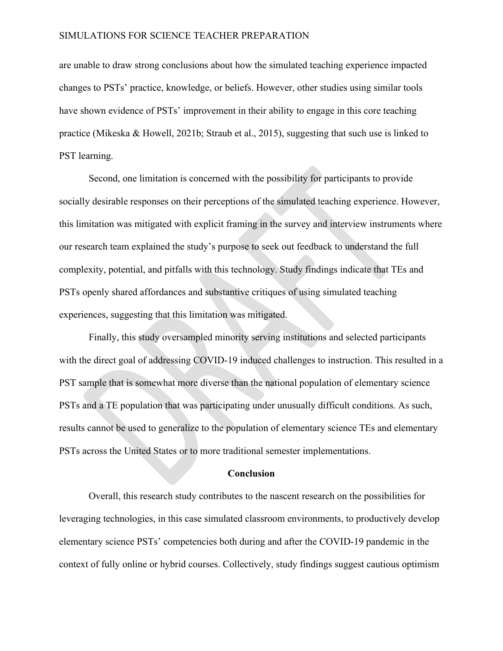are unable to draw strong conclusions about how the simulated teaching experience impacted changes to PSTs' practice, knowledge, or beliefs. However, other studies using similar tools have shown evidence of PSTs' improvement in their ability to engage in this core teaching practice (Mikeska & Howell, 2021b; Straub et al., 2015), suggesting that such use is linked to PST learning.

Second, one limitation is concerned with the possibility for participants to provide socially desirable responses on their perceptions of the simulated teaching experience. However, this limitation was mitigated with explicit framing in the survey and interview instruments where our research team explained the study's purpose to seek out feedback to understand the full complexity, potential, and pitfalls with this technology. Study findings indicate that TEs and PSTs openly shared affordances and substantive critiques of using simulated teaching experiences, suggesting that this limitation was mitigated.

Finally, this study oversampled minority serving institutions and selected participants with the direct goal of addressing COVID-19 induced challenges to instruction. This resulted in a PST sample that is somewhat more diverse than the national population of elementary science PSTs and a TE population that was participating under unusually difficult conditions. As such, results cannot be used to generalize to the population of elementary science TEs and elementary PSTs across the United States or to more traditional semester implementations.

#### **Conclusion**

Overall, this research study contributes to the nascent research on the possibilities for leveraging technologies, in this case simulated classroom environments, to productively develop elementary science PSTs' competencies both during and after the COVID-19 pandemic in the context of fully online or hybrid courses. Collectively, study findings suggest cautious optimism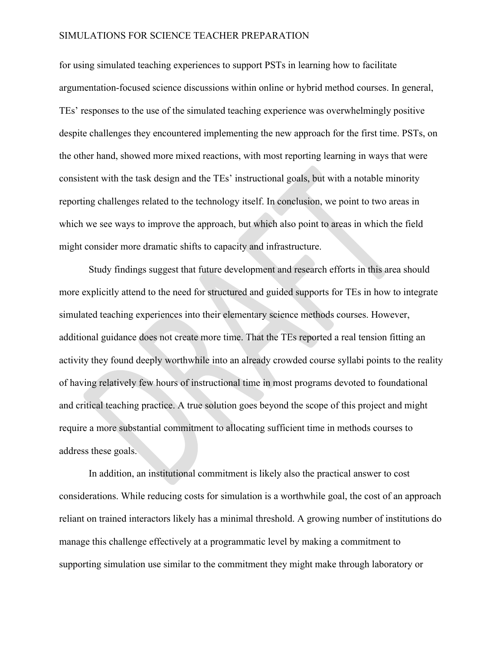for using simulated teaching experiences to support PSTs in learning how to facilitate argumentation-focused science discussions within online or hybrid method courses. In general, TEs' responses to the use of the simulated teaching experience was overwhelmingly positive despite challenges they encountered implementing the new approach for the first time. PSTs, on the other hand, showed more mixed reactions, with most reporting learning in ways that were consistent with the task design and the TEs' instructional goals, but with a notable minority reporting challenges related to the technology itself. In conclusion, we point to two areas in which we see ways to improve the approach, but which also point to areas in which the field might consider more dramatic shifts to capacity and infrastructure.

Study findings suggest that future development and research efforts in this area should more explicitly attend to the need for structured and guided supports for TEs in how to integrate simulated teaching experiences into their elementary science methods courses. However, additional guidance does not create more time. That the TEs reported a real tension fitting an activity they found deeply worthwhile into an already crowded course syllabi points to the reality of having relatively few hours of instructional time in most programs devoted to foundational and critical teaching practice. A true solution goes beyond the scope of this project and might require a more substantial commitment to allocating sufficient time in methods courses to address these goals.

In addition, an institutional commitment is likely also the practical answer to cost considerations. While reducing costs for simulation is a worthwhile goal, the cost of an approach reliant on trained interactors likely has a minimal threshold. A growing number of institutions do manage this challenge effectively at a programmatic level by making a commitment to supporting simulation use similar to the commitment they might make through laboratory or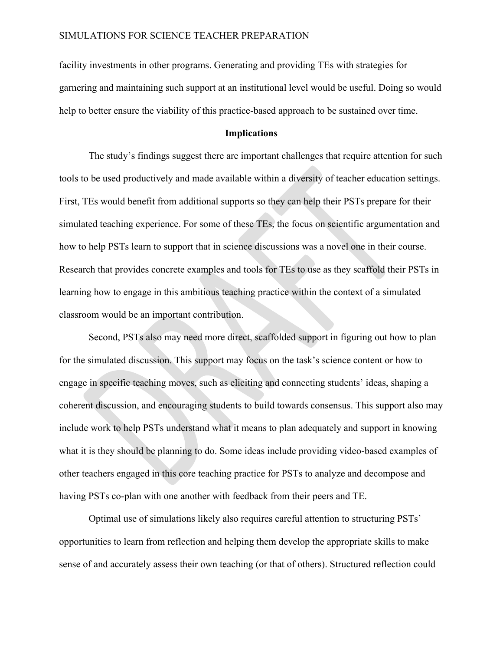facility investments in other programs. Generating and providing TEs with strategies for garnering and maintaining such support at an institutional level would be useful. Doing so would help to better ensure the viability of this practice-based approach to be sustained over time.

#### **Implications**

The study's findings suggest there are important challenges that require attention for such tools to be used productively and made available within a diversity of teacher education settings. First, TEs would benefit from additional supports so they can help their PSTs prepare for their simulated teaching experience. For some of these TEs, the focus on scientific argumentation and how to help PSTs learn to support that in science discussions was a novel one in their course. Research that provides concrete examples and tools for TEs to use as they scaffold their PSTs in learning how to engage in this ambitious teaching practice within the context of a simulated classroom would be an important contribution.

Second, PSTs also may need more direct, scaffolded support in figuring out how to plan for the simulated discussion. This support may focus on the task's science content or how to engage in specific teaching moves, such as eliciting and connecting students' ideas, shaping a coherent discussion, and encouraging students to build towards consensus. This support also may include work to help PSTs understand what it means to plan adequately and support in knowing what it is they should be planning to do. Some ideas include providing video-based examples of other teachers engaged in this core teaching practice for PSTs to analyze and decompose and having PSTs co-plan with one another with feedback from their peers and TE.

Optimal use of simulations likely also requires careful attention to structuring PSTs' opportunities to learn from reflection and helping them develop the appropriate skills to make sense of and accurately assess their own teaching (or that of others). Structured reflection could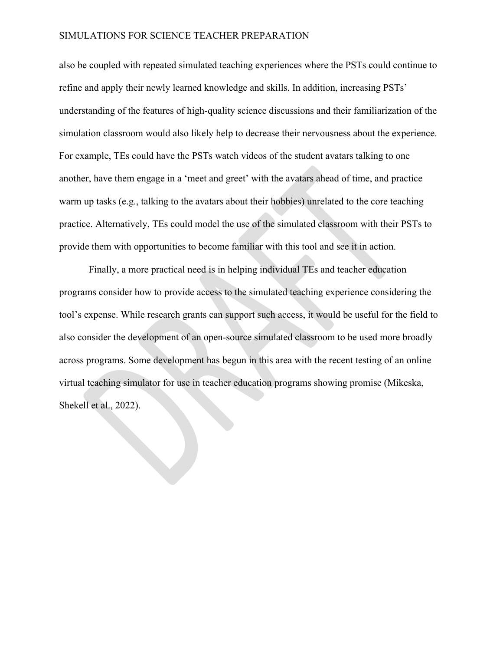also be coupled with repeated simulated teaching experiences where the PSTs could continue to refine and apply their newly learned knowledge and skills. In addition, increasing PSTs' understanding of the features of high-quality science discussions and their familiarization of the simulation classroom would also likely help to decrease their nervousness about the experience. For example, TEs could have the PSTs watch videos of the student avatars talking to one another, have them engage in a 'meet and greet' with the avatars ahead of time, and practice warm up tasks (e.g., talking to the avatars about their hobbies) unrelated to the core teaching practice. Alternatively, TEs could model the use of the simulated classroom with their PSTs to provide them with opportunities to become familiar with this tool and see it in action.

Finally, a more practical need is in helping individual TEs and teacher education programs consider how to provide access to the simulated teaching experience considering the tool's expense. While research grants can support such access, it would be useful for the field to also consider the development of an open-source simulated classroom to be used more broadly across programs. Some development has begun in this area with the recent testing of an online virtual teaching simulator for use in teacher education programs showing promise (Mikeska, Shekell et al., 2022).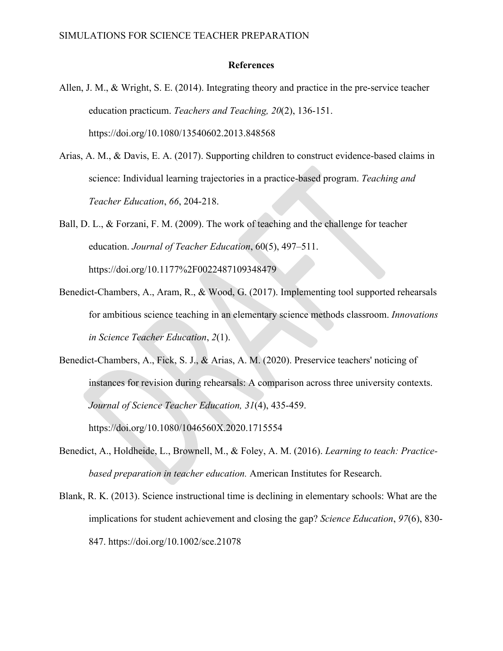#### **References**

- Allen, J. M., & Wright, S. E. (2014). Integrating theory and practice in the pre-service teacher education practicum. *Teachers and Teaching, 20*(2), 136-151. https://doi.org/10.1080/13540602.2013.848568
- Arias, A. M., & Davis, E. A. (2017). Supporting children to construct evidence-based claims in science: Individual learning trajectories in a practice-based program. *Teaching and Teacher Education*, *66*, 204-218.

Ball, D. L., & Forzani, F. M. (2009). The work of teaching and the challenge for teacher education. *Journal of Teacher Education*, 60(5), 497–511. https://doi.org/10.1177%2F0022487109348479

- Benedict-Chambers, A., Aram, R., & Wood, G. (2017). Implementing tool supported rehearsals for ambitious science teaching in an elementary science methods classroom. *Innovations in Science Teacher Education*, *2*(1).
- Benedict-Chambers, A., Fick, S. J., & Arias, A. M. (2020). Preservice teachers' noticing of instances for revision during rehearsals: A comparison across three university contexts. *Journal of Science Teacher Education, 31*(4), 435-459. https://doi.org/10.1080/1046560X.2020.1715554
- Benedict, A., Holdheide, L., Brownell, M., & Foley, A. M. (2016). *Learning to teach: Practicebased preparation in teacher education.* American Institutes for Research.
- Blank, R. K. (2013). Science instructional time is declining in elementary schools: What are the implications for student achievement and closing the gap? *Science Education*, *97*(6), 830- 847. https://doi.org/10.1002/sce.21078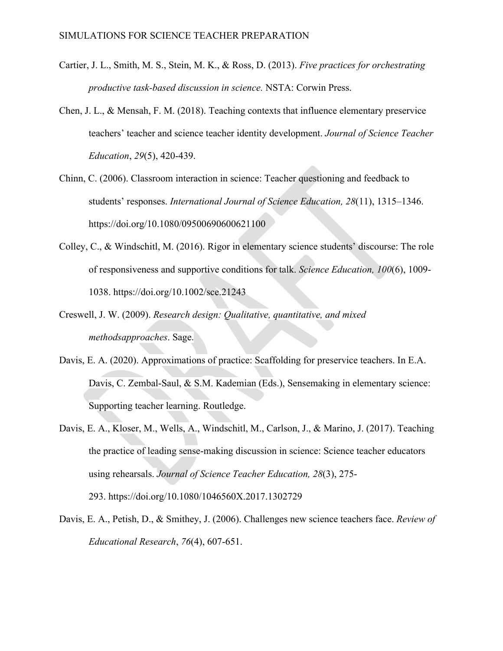- Cartier, J. L., Smith, M. S., Stein, M. K., & Ross, D. (2013). *Five practices for orchestrating productive task-based discussion in science.* NSTA: Corwin Press.
- Chen, J. L., & Mensah, F. M. (2018). Teaching contexts that influence elementary preservice teachers' teacher and science teacher identity development. *Journal of Science Teacher Education*, *29*(5), 420-439.
- Chinn, C. (2006). Classroom interaction in science: Teacher questioning and feedback to students' responses. *International Journal of Science Education, 28*(11), 1315–1346. https://doi.org/10.1080/09500690600621100
- Colley, C., & Windschitl, M. (2016). Rigor in elementary science students' discourse: The role of responsiveness and supportive conditions for talk. *Science Education, 100*(6), 1009- 1038. https://doi.org/10.1002/sce.21243
- Creswell, J. W. (2009). *Research design: Qualitative, quantitative, and mixed methodsapproaches*. Sage.
- Davis, E. A. (2020). Approximations of practice: Scaffolding for preservice teachers. In E.A. Davis, C. Zembal-Saul, & S.M. Kademian (Eds.), Sensemaking in elementary science: Supporting teacher learning. Routledge.
- Davis, E. A., Kloser, M., Wells, A., Windschitl, M., Carlson, J., & Marino, J. (2017). Teaching the practice of leading sense-making discussion in science: Science teacher educators using rehearsals. *Journal of Science Teacher Education, 28*(3), 275- 293. https://doi.org/10.1080/1046560X.2017.1302729
- Davis, E. A., Petish, D., & Smithey, J. (2006). Challenges new science teachers face. *Review of Educational Research*, *76*(4), 607-651.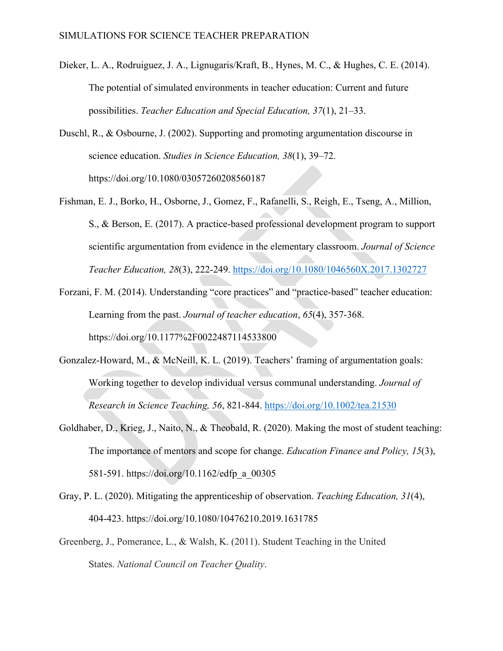- Dieker, L. A., Rodruiguez, J. A., Lignugaris/Kraft, B., Hynes, M. C., & Hughes, C. E. (2014). The potential of simulated environments in teacher education: Current and future possibilities. *Teacher Education and Special Education, 37*(1), 21–33.
- Duschl, R., & Osbourne, J. (2002). Supporting and promoting argumentation discourse in science education. *Studies in Science Education, 38*(1), 39–72. https://doi.org/10.1080/03057260208560187
- Fishman, E. J., Borko, H., Osborne, J., Gomez, F., Rafanelli, S., Reigh, E., Tseng, A., Million, S., & Berson, E. (2017). A practice-based professional development program to support scientific argumentation from evidence in the elementary classroom. *Journal of Science Teacher Education, 28*(3), 222-249.<https://doi.org/10.1080/1046560X.2017.1302727>
- Forzani, F. M. (2014). Understanding "core practices" and "practice-based" teacher education: Learning from the past. *Journal of teacher education*, *65*(4), 357-368. https://doi.org/10.1177%2F0022487114533800
- Gonzalez-Howard, M., & McNeill, K. L. (2019). Teachers' framing of argumentation goals: Working together to develop individual versus communal understanding. *Journal of Research in Science Teaching, 56*, 821-844.<https://doi.org/10.1002/tea.21530>
- Goldhaber, D., Krieg, J., Naito, N., & Theobald, R. (2020). Making the most of student teaching: The importance of mentors and scope for change. *Education Finance and Policy, 15*(3), 581-591. https://doi.org/10.1162/edfp\_a\_00305
- Gray, P. L. (2020). Mitigating the apprenticeship of observation. *Teaching Education, 31*(4), 404-423. https://doi.org/10.1080/10476210.2019.1631785
- Greenberg, J., Pomerance, L., & Walsh, K. (2011). Student Teaching in the United States. *National Council on Teacher Quality*.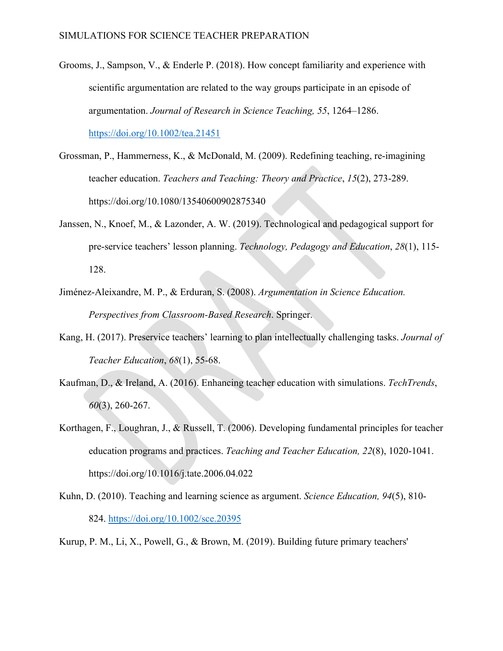- Grooms, J., Sampson, V., & Enderle P. (2018). How concept familiarity and experience with scientific argumentation are related to the way groups participate in an episode of argumentation. *Journal of Research in Science Teaching, 55*, 1264–1286. <https://doi.org/10.1002/tea.21451>
- Grossman, P., Hammerness, K., & McDonald, M. (2009). Redefining teaching, re‐imagining teacher education. *Teachers and Teaching: Theory and Practice*, *15*(2), 273-289. https://doi.org/10.1080/13540600902875340
- Janssen, N., Knoef, M., & Lazonder, A. W. (2019). Technological and pedagogical support for pre-service teachers' lesson planning. *Technology, Pedagogy and Education*, *28*(1), 115- 128.
- Jiménez-Aleixandre, M. P., & Erduran, S. (2008). *Argumentation in Science Education. Perspectives from Classroom-Based Research*. Springer.
- Kang, H. (2017). Preservice teachers' learning to plan intellectually challenging tasks. *Journal of Teacher Education*, *68*(1), 55-68.
- Kaufman, D., & Ireland, A. (2016). Enhancing teacher education with simulations. *TechTrends*, *60*(3), 260-267.
- Korthagen, F., Loughran, J., & Russell, T. (2006). Developing fundamental principles for teacher education programs and practices. *Teaching and Teacher Education, 22*(8), 1020-1041. https://doi.org/10.1016/j.tate.2006.04.022
- Kuhn, D. (2010). Teaching and learning science as argument. *Science Education, 94*(5), 810- 824.<https://doi.org/10.1002/sce.20395>

Kurup, P. M., Li, X., Powell, G., & Brown, M. (2019). Building future primary teachers'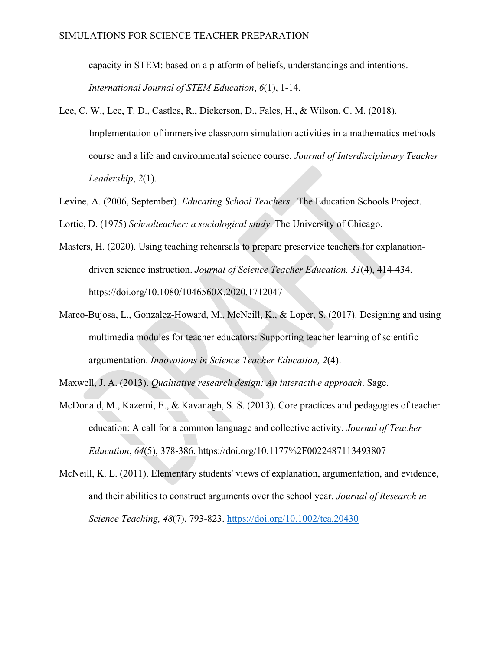capacity in STEM: based on a platform of beliefs, understandings and intentions. *International Journal of STEM Education*, *6*(1), 1-14.

- Lee, C. W., Lee, T. D., Castles, R., Dickerson, D., Fales, H., & Wilson, C. M. (2018). Implementation of immersive classroom simulation activities in a mathematics methods course and a life and environmental science course. *Journal of Interdisciplinary Teacher Leadership*, *2*(1).
- Levine, A. (2006, September). *Educating School Teachers* . The Education Schools Project.

Lortie, D. (1975) *Schoolteacher: a sociological study*. The University of Chicago.

- Masters, H. (2020). Using teaching rehearsals to prepare preservice teachers for explanationdriven science instruction. *Journal of Science Teacher Education, 31*(4), 414-434. https://doi.org/10.1080/1046560X.2020.1712047
- Marco-Bujosa, L., Gonzalez-Howard, M., McNeill, K., & Loper, S. (2017). Designing and using multimedia modules for teacher educators: Supporting teacher learning of scientific argumentation. *Innovations in Science Teacher Education, 2*(4).

Maxwell, J. A. (2013). *Qualitative research design: An interactive approach*. Sage.

- McDonald, M., Kazemi, E., & Kavanagh, S. S. (2013). Core practices and pedagogies of teacher education: A call for a common language and collective activity. *Journal of Teacher Education*, *64*(5), 378-386. https://doi.org/10.1177%2F0022487113493807
- McNeill, K. L. (2011). Elementary students' views of explanation, argumentation, and evidence, and their abilities to construct arguments over the school year. *Journal of Research in Science Teaching, 48*(7), 793-823.<https://doi.org/10.1002/tea.20430>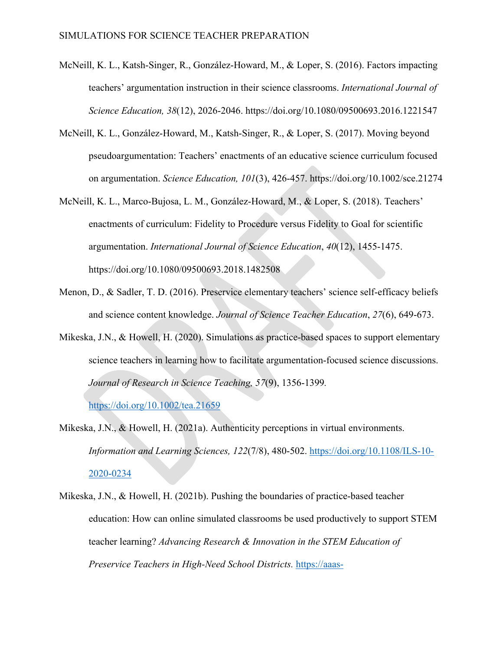- McNeill, K. L., Katsh-Singer, R., González-Howard, M., & Loper, S. (2016). Factors impacting teachers' argumentation instruction in their science classrooms. *International Journal of Science Education, 38*(12), 2026-2046. https://doi.org/10.1080/09500693.2016.1221547
- McNeill, K. L., González-Howard, M., Katsh-Singer, R., & Loper, S. (2017). Moving beyond pseudoargumentation: Teachers' enactments of an educative science curriculum focused on argumentation. *Science Education, 101*(3), 426-457. https://doi.org/10.1002/sce.21274
- McNeill, K. L., Marco-Bujosa, L. M., González-Howard, M., & Loper, S. (2018). Teachers' enactments of curriculum: Fidelity to Procedure versus Fidelity to Goal for scientific argumentation. *International Journal of Science Education*, *40*(12), 1455-1475. https://doi.org/10.1080/09500693.2018.1482508
- Menon, D., & Sadler, T. D. (2016). Preservice elementary teachers' science self-efficacy beliefs and science content knowledge. *Journal of Science Teacher Education*, *27*(6), 649-673.
- Mikeska, J.N., & Howell, H. (2020). Simulations as practice-based spaces to support elementary science teachers in learning how to facilitate argumentation-focused science discussions. *Journal of Research in Science Teaching, 57*(9), 1356-1399*.*

<https://doi.org/10.1002/tea.21659>

- Mikeska, J.N., & Howell, H. (2021a). Authenticity perceptions in virtual environments. *Information and Learning Sciences, 122*(7/8), 480-502. [https://doi.org/10.1108/ILS-10-](https://doi.org/10.1108/ILS-10-2020-0234) [2020-0234](https://doi.org/10.1108/ILS-10-2020-0234)
- Mikeska, J.N., & Howell, H. (2021b). Pushing the boundaries of practice-based teacher education: How can online simulated classrooms be used productively to support STEM teacher learning? *Advancing Research & Innovation in the STEM Education of Preservice Teachers in High-Need School Districts.* [https://aaas-](https://aaas-arise.org/2021/03/30/pushing-the-boundaries-of-practice-based-teacher-education-how-can-online-simulated-classrooms-be-used-productively-to-support-stem-teacher-learning/)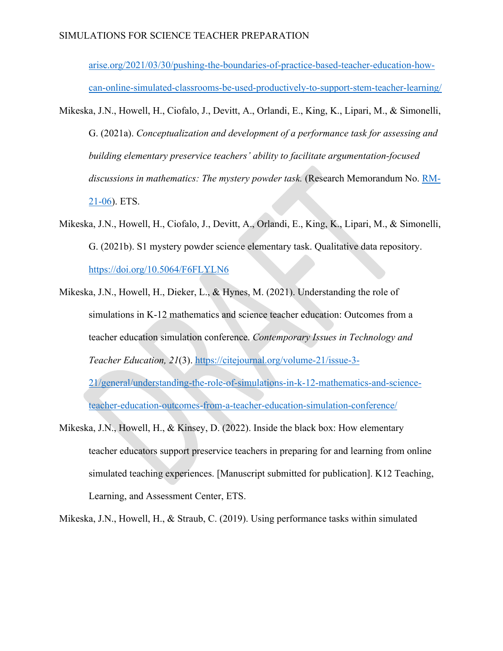[arise.org/2021/03/30/pushing-the-boundaries-of-practice-based-teacher-education-how](https://aaas-arise.org/2021/03/30/pushing-the-boundaries-of-practice-based-teacher-education-how-can-online-simulated-classrooms-be-used-productively-to-support-stem-teacher-learning/)[can-online-simulated-classrooms-be-used-productively-to-support-stem-teacher-learning/](https://aaas-arise.org/2021/03/30/pushing-the-boundaries-of-practice-based-teacher-education-how-can-online-simulated-classrooms-be-used-productively-to-support-stem-teacher-learning/)

- Mikeska, J.N., Howell, H., Ciofalo, J., Devitt, A., Orlandi, E., King, K., Lipari, M., & Simonelli, G. (2021a). *Conceptualization and development of a performance task for assessing and building elementary preservice teachers' ability to facilitate argumentation-focused discussions in mathematics: The mystery powder task.* (Research Memorandum No. [RM-](https://www.ets.org/Media/Research/pdf/RM-21-06.pdf)[21-06\)](https://www.ets.org/Media/Research/pdf/RM-21-06.pdf). ETS.
- Mikeska, J.N., Howell, H., Ciofalo, J., Devitt, A., Orlandi, E., King, K., Lipari, M., & Simonelli, G. (2021b). S1 mystery powder science elementary task. Qualitative data repository. <https://doi.org/10.5064/F6FLYLN6>
- Mikeska, J.N., Howell, H., Dieker, L., & Hynes, M. (2021). Understanding the role of simulations in K-12 mathematics and science teacher education: Outcomes from a teacher education simulation conference. *Contemporary Issues in Technology and Teacher Education, 21*(3). [https://citejournal.org/volume-21/issue-3-](https://citejournal.org/volume-21/issue-3-21/general/understanding-the-role-of-simulations-in-k-12-mathematics-and-science-teacher-education-outcomes-from-a-teacher-education-simulation-conference/) [21/general/understanding-the-role-of-simulations-in-k-12-mathematics-and-science](https://citejournal.org/volume-21/issue-3-21/general/understanding-the-role-of-simulations-in-k-12-mathematics-and-science-teacher-education-outcomes-from-a-teacher-education-simulation-conference/)[teacher-education-outcomes-from-a-teacher-education-simulation-conference/](https://citejournal.org/volume-21/issue-3-21/general/understanding-the-role-of-simulations-in-k-12-mathematics-and-science-teacher-education-outcomes-from-a-teacher-education-simulation-conference/)
- Mikeska, J.N., Howell, H., & Kinsey, D. (2022). Inside the black box: How elementary teacher educators support preservice teachers in preparing for and learning from online simulated teaching experiences. [Manuscript submitted for publication]. K12 Teaching, Learning, and Assessment Center, ETS.

Mikeska, J.N., Howell, H., & Straub, C. (2019). Using performance tasks within simulated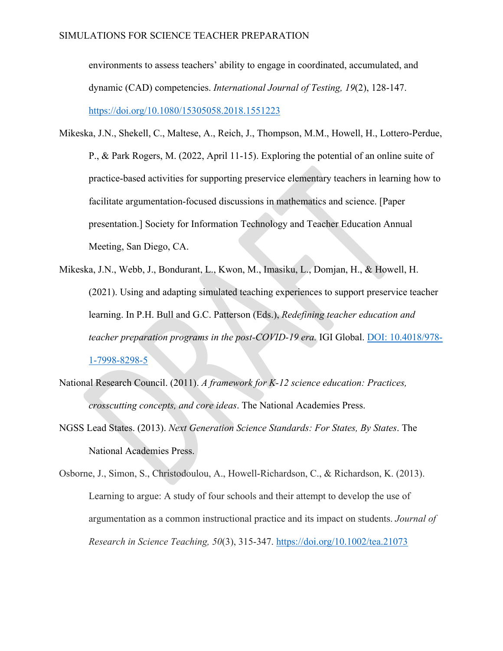environments to assess teachers' ability to engage in coordinated, accumulated, and dynamic (CAD) competencies. *International Journal of Testing, 19*(2), 128-147. <https://doi.org/10.1080/15305058.2018.1551223>

- Mikeska, J.N., Shekell, C., Maltese, A., Reich, J., Thompson, M.M., Howell, H., Lottero-Perdue, P., & Park Rogers, M. (2022, April 11-15). Exploring the potential of an online suite of practice-based activities for supporting preservice elementary teachers in learning how to facilitate argumentation-focused discussions in mathematics and science. [Paper presentation.] Society for Information Technology and Teacher Education Annual Meeting, San Diego, CA.
- Mikeska, J.N., Webb, J., Bondurant, L., Kwon, M., Imasiku, L., Domjan, H., & Howell, H. (2021). Using and adapting simulated teaching experiences to support preservice teacher learning. In P.H. Bull and G.C. Patterson (Eds.), *Redefining teacher education and teacher preparation programs in the post-COVID-19 era.* IGI Global. [DOI: 10.4018/978-](https://www.igi-global.com/book/redefining-teacher-education-teacher-preparation/269294) [1-7998-8298-5](https://www.igi-global.com/book/redefining-teacher-education-teacher-preparation/269294)
- National Research Council. (2011). *A framework for K-12 science education: Practices, crosscutting concepts, and core ideas*. The National Academies Press.
- NGSS Lead States. (2013). *Next Generation Science Standards: For States, By States*. The National Academies Press.

Osborne, J., Simon, S., Christodoulou, A., Howell‐Richardson, C., & Richardson, K. (2013). Learning to argue: A study of four schools and their attempt to develop the use of argumentation as a common instructional practice and its impact on students. *Journal of Research in Science Teaching, 50*(3), 315-347.<https://doi.org/10.1002/tea.21073>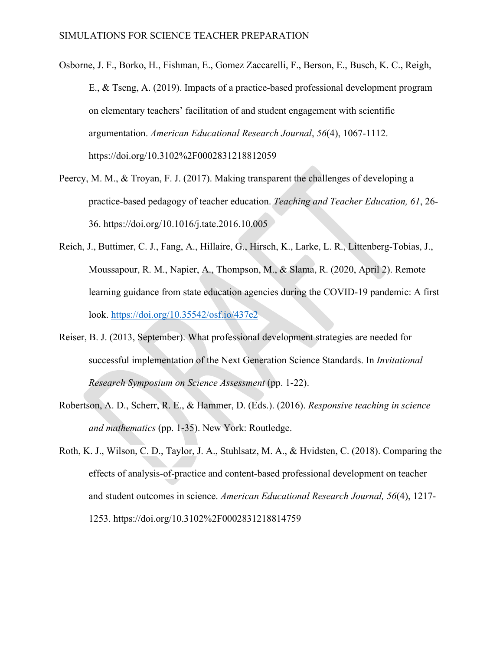- Osborne, J. F., Borko, H., Fishman, E., Gomez Zaccarelli, F., Berson, E., Busch, K. C., Reigh, E., & Tseng, A. (2019). Impacts of a practice-based professional development program on elementary teachers' facilitation of and student engagement with scientific argumentation. *American Educational Research Journal*, *56*(4), 1067-1112. https://doi.org/10.3102%2F0002831218812059
- Peercy, M. M., & Troyan, F. J. (2017). Making transparent the challenges of developing a practice-based pedagogy of teacher education. *Teaching and Teacher Education, 61*, 26- 36. https://doi.org/10.1016/j.tate.2016.10.005
- Reich, J., Buttimer, C. J., Fang, A., Hillaire, G., Hirsch, K., Larke, L. R., Littenberg-Tobias, J., Moussapour, R. M., Napier, A., Thompson, M., & Slama, R. (2020, April 2). Remote learning guidance from state education agencies during the COVID-19 pandemic: A first look.<https://doi.org/10.35542/osf.io/437e2>
- Reiser, B. J. (2013, September). What professional development strategies are needed for successful implementation of the Next Generation Science Standards. In *Invitational Research Symposium on Science Assessment* (pp. 1-22).
- Robertson, A. D., Scherr, R. E., & Hammer, D. (Eds.). (2016). *Responsive teaching in science and mathematics* (pp. 1-35). New York: Routledge.
- Roth, K. J., Wilson, C. D., Taylor, J. A., Stuhlsatz, M. A., & Hvidsten, C. (2018). Comparing the effects of analysis-of-practice and content-based professional development on teacher and student outcomes in science. *American Educational Research Journal, 56*(4), 1217- 1253. https://doi.org/10.3102%2F0002831218814759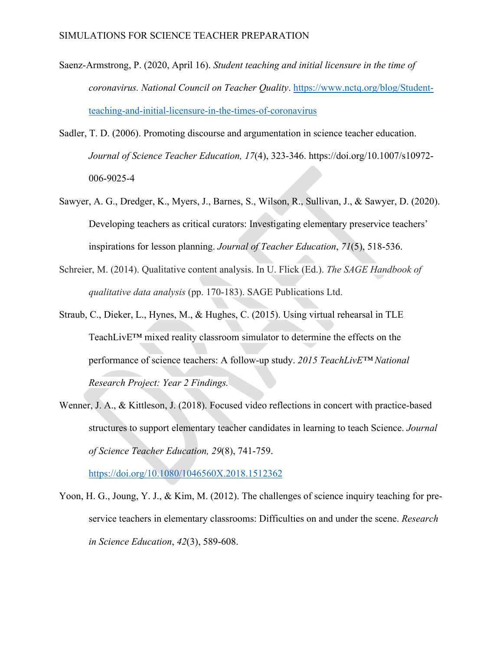- Saenz-Armstrong, P. (2020, April 16). *Student teaching and initial licensure in the time of coronavirus. National Council on Teacher Quality*. [https://www.nctq.org/blog/Student](https://www.nctq.org/blog/Student-teaching-and-initial-licensure-in-the-times-of-coronavirus)[teaching-and-initial-licensure-in-the-times-of-coronavirus](https://www.nctq.org/blog/Student-teaching-and-initial-licensure-in-the-times-of-coronavirus)
- Sadler, T. D. (2006). Promoting discourse and argumentation in science teacher education. *Journal of Science Teacher Education, 17*(4), 323-346. https://doi.org/10.1007/s10972- 006-9025-4
- Sawyer, A. G., Dredger, K., Myers, J., Barnes, S., Wilson, R., Sullivan, J., & Sawyer, D. (2020). Developing teachers as critical curators: Investigating elementary preservice teachers' inspirations for lesson planning. *Journal of Teacher Education*, *71*(5), 518-536.
- Schreier, M. (2014). Qualitative content analysis. In U. Flick (Ed.). *The SAGE Handbook of qualitative data analysis* (pp. 170-183). SAGE Publications Ltd.
- Straub, C., Dieker, L., Hynes, M., & Hughes, C. (2015). Using virtual rehearsal in TLE TeachLivE™ mixed reality classroom simulator to determine the effects on the performance of science teachers: A follow-up study. *2015 TeachLivE™ National Research Project: Year 2 Findings.*
- Wenner, J. A., & Kittleson, J. (2018). Focused video reflections in concert with practice-based structures to support elementary teacher candidates in learning to teach Science. *Journal of Science Teacher Education, 29*(8), 741-759.

<https://doi.org/10.1080/1046560X.2018.1512362>

Yoon, H. G., Joung, Y. J., & Kim, M. (2012). The challenges of science inquiry teaching for preservice teachers in elementary classrooms: Difficulties on and under the scene. *Research in Science Education*, *42*(3), 589-608.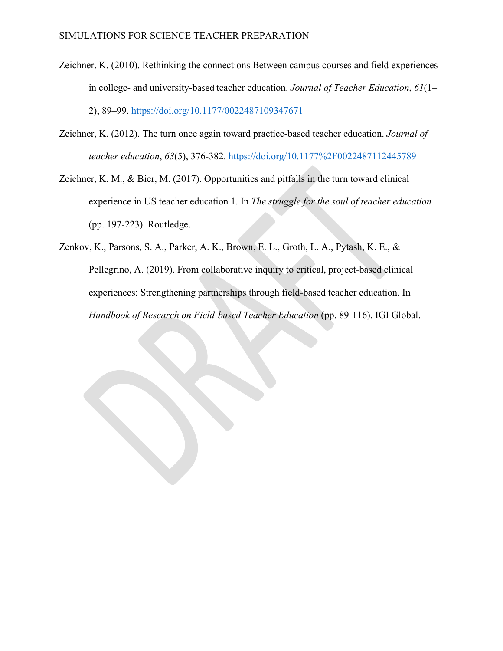- Zeichner, K. (2010). Rethinking the connections Between campus courses and field experiences in college- and university-based teacher education. *Journal of Teacher Education*, *61*(1– 2), 89–99.<https://doi.org/10.1177/0022487109347671>
- Zeichner, K. (2012). The turn once again toward practice-based teacher education. *Journal of teacher education*, *63*(5), 376-382. <https://doi.org/10.1177%2F0022487112445789>
- Zeichner, K. M., & Bier, M. (2017). Opportunities and pitfalls in the turn toward clinical experience in US teacher education 1. In *The struggle for the soul of teacher education* (pp. 197-223). Routledge.
- Zenkov, K., Parsons, S. A., Parker, A. K., Brown, E. L., Groth, L. A., Pytash, K. E., & Pellegrino, A. (2019). From collaborative inquiry to critical, project-based clinical experiences: Strengthening partnerships through field-based teacher education. In *Handbook of Research on Field-based Teacher Education* (pp. 89-116). IGI Global.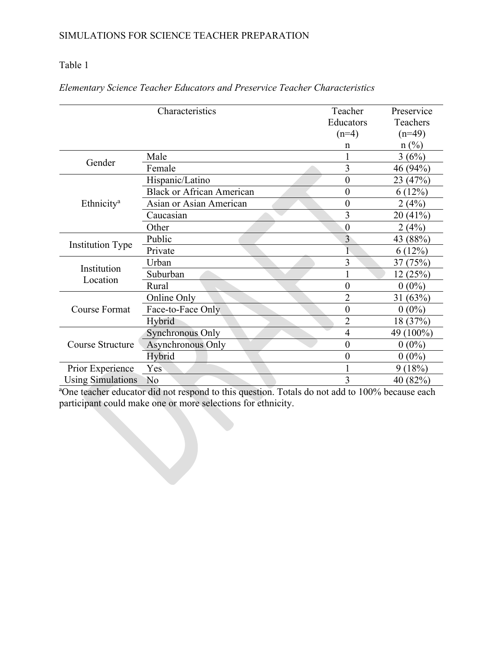## Table 1

|                          | Characteristics                  | Teacher          | Preservice     |
|--------------------------|----------------------------------|------------------|----------------|
|                          |                                  | Educators        | Teachers       |
|                          |                                  | $(n=4)$          | $(n=49)$       |
|                          |                                  | n                | $n(^{0}/_{0})$ |
| Gender                   | Male                             |                  | 3(6%)          |
|                          | Female                           | 3                | 46 (94%)       |
|                          | Hispanic/Latino                  | $\boldsymbol{0}$ | 23 (47%)       |
|                          | <b>Black or African American</b> | $\boldsymbol{0}$ | 6(12%)         |
| Ethnicity <sup>a</sup>   | Asian or Asian American          | $\overline{0}$   | 2(4%)          |
|                          | Caucasian                        | 3                | 20(41%)        |
|                          | Other                            | $\overline{0}$   | 2(4%)          |
|                          | Public                           | 3                | 43 (88%)       |
| <b>Institution Type</b>  | Private                          |                  | 6(12%)         |
|                          | Urban                            | 3                | 37 (75%)       |
| Institution<br>Location  | Suburban                         |                  | 12(25%)        |
|                          | Rural                            | $\overline{0}$   | $0(0\%)$       |
| <b>Course Format</b>     | Online Only                      | $\overline{2}$   | 31(63%)        |
|                          | Face-to-Face Only                | $\overline{0}$   | $0(0\%)$       |
|                          | Hybrid                           | $\overline{2}$   | 18 (37%)       |
| Course Structure         | Synchronous Only                 | $\overline{4}$   | 49 (100%)      |
|                          | <b>Asynchronous Only</b>         | $\boldsymbol{0}$ | $0(0\%)$       |
|                          | Hybrid                           | $\boldsymbol{0}$ | $0(0\%)$       |
| Prior Experience         | Yes                              | 1                | 9(18%)         |
| <b>Using Simulations</b> | No                               | 3                | 40 (82%)       |

## *Elementary Science Teacher Educators and Preservice Teacher Characteristics*

<sup>a</sup>One teacher educator did not respond to this question. Totals do not add to 100% because each participant could make one or more selections for ethnicity.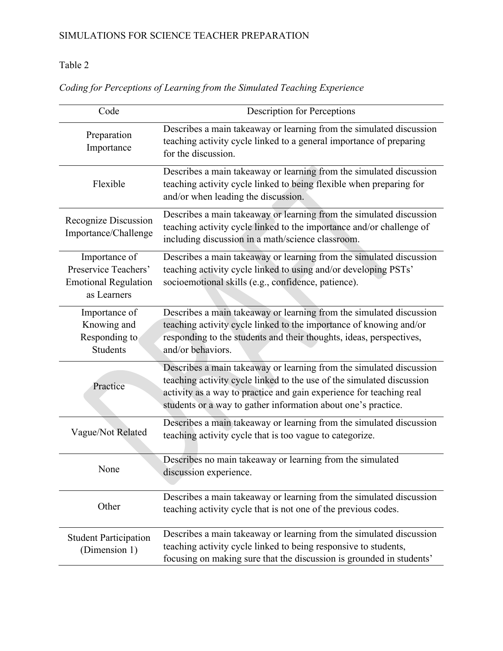# Table 2

| Code                                                                                | <b>Description for Perceptions</b>                                                                                                                                                                                                                                                   |  |  |
|-------------------------------------------------------------------------------------|--------------------------------------------------------------------------------------------------------------------------------------------------------------------------------------------------------------------------------------------------------------------------------------|--|--|
| Preparation<br>Importance                                                           | Describes a main takeaway or learning from the simulated discussion<br>teaching activity cycle linked to a general importance of preparing<br>for the discussion.                                                                                                                    |  |  |
| Flexible                                                                            | Describes a main takeaway or learning from the simulated discussion<br>teaching activity cycle linked to being flexible when preparing for<br>and/or when leading the discussion.                                                                                                    |  |  |
| Recognize Discussion<br>Importance/Challenge                                        | Describes a main takeaway or learning from the simulated discussion<br>teaching activity cycle linked to the importance and/or challenge of<br>including discussion in a math/science classroom.                                                                                     |  |  |
| Importance of<br>Preservice Teachers'<br><b>Emotional Regulation</b><br>as Learners | Describes a main takeaway or learning from the simulated discussion<br>teaching activity cycle linked to using and/or developing PSTs'<br>socioemotional skills (e.g., confidence, patience).                                                                                        |  |  |
| Importance of<br>Knowing and<br>Responding to<br>Students                           | Describes a main takeaway or learning from the simulated discussion<br>teaching activity cycle linked to the importance of knowing and/or<br>responding to the students and their thoughts, ideas, perspectives,<br>and/or behaviors.                                                |  |  |
| Practice                                                                            | Describes a main takeaway or learning from the simulated discussion<br>teaching activity cycle linked to the use of the simulated discussion<br>activity as a way to practice and gain experience for teaching real<br>students or a way to gather information about one's practice. |  |  |
| Vague/Not Related                                                                   | Describes a main takeaway or learning from the simulated discussion<br>teaching activity cycle that is too vague to categorize.                                                                                                                                                      |  |  |
| None                                                                                | Describes no main takeaway or learning from the simulated<br>discussion experience.                                                                                                                                                                                                  |  |  |
| Other                                                                               | Describes a main takeaway or learning from the simulated discussion<br>teaching activity cycle that is not one of the previous codes.                                                                                                                                                |  |  |
| <b>Student Participation</b><br>(Dimension 1)                                       | Describes a main takeaway or learning from the simulated discussion<br>teaching activity cycle linked to being responsive to students,<br>focusing on making sure that the discussion is grounded in students'                                                                       |  |  |

*Coding for Perceptions of Learning from the Simulated Teaching Experience*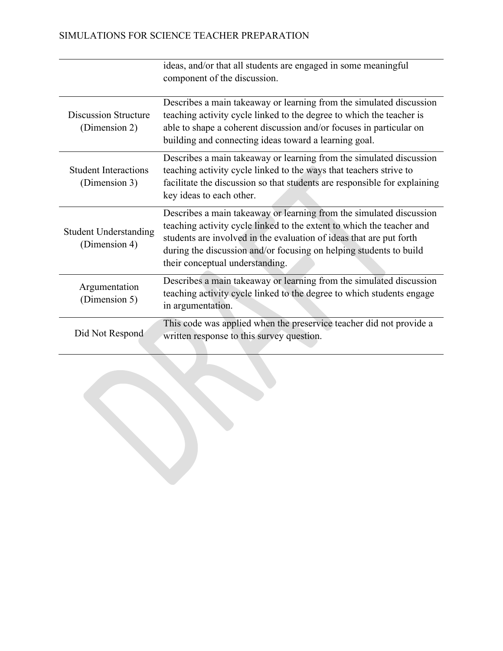|                                               | ideas, and/or that all students are engaged in some meaningful<br>component of the discussion.                                                                                                                                                                                                                               |
|-----------------------------------------------|------------------------------------------------------------------------------------------------------------------------------------------------------------------------------------------------------------------------------------------------------------------------------------------------------------------------------|
| <b>Discussion Structure</b><br>(Dimension 2)  | Describes a main takeaway or learning from the simulated discussion<br>teaching activity cycle linked to the degree to which the teacher is<br>able to shape a coherent discussion and/or focuses in particular on<br>building and connecting ideas toward a learning goal.                                                  |
| <b>Student Interactions</b><br>(Dimension 3)  | Describes a main takeaway or learning from the simulated discussion<br>teaching activity cycle linked to the ways that teachers strive to<br>facilitate the discussion so that students are responsible for explaining<br>key ideas to each other.                                                                           |
| <b>Student Understanding</b><br>(Dimension 4) | Describes a main takeaway or learning from the simulated discussion<br>teaching activity cycle linked to the extent to which the teacher and<br>students are involved in the evaluation of ideas that are put forth<br>during the discussion and/or focusing on helping students to build<br>their conceptual understanding. |
| Argumentation<br>(Dimension 5)                | Describes a main takeaway or learning from the simulated discussion<br>teaching activity cycle linked to the degree to which students engage<br>in argumentation.                                                                                                                                                            |
| Did Not Respond                               | This code was applied when the preservice teacher did not provide a<br>written response to this survey question.                                                                                                                                                                                                             |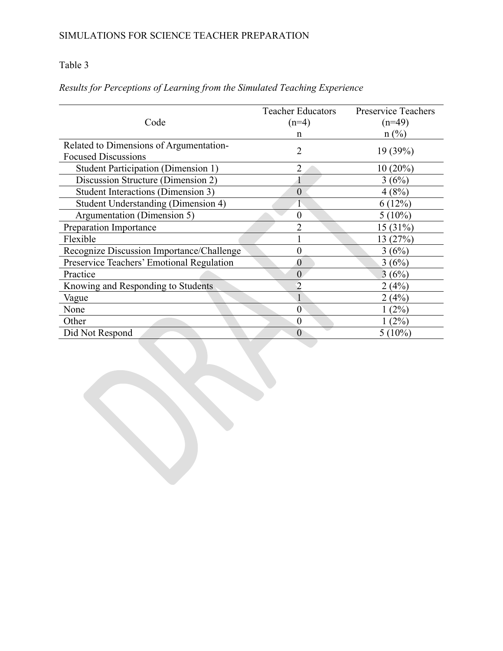## Table 3

|                                            | <b>Teacher Educators</b> | <b>Preservice Teachers</b> |
|--------------------------------------------|--------------------------|----------------------------|
| Code                                       | $(n=4)$                  | $(n=49)$                   |
|                                            | n                        | $n$ (%)                    |
| Related to Dimensions of Argumentation-    | $\overline{2}$           | 19 (39%)                   |
| <b>Focused Discussions</b>                 |                          |                            |
| <b>Student Participation (Dimension 1)</b> | $\overline{2}$           | $10(20\%)$                 |
| Discussion Structure (Dimension 2)         |                          | 3(6%)                      |
| Student Interactions (Dimension 3)         | $\theta$                 | 4(8%)                      |
| Student Understanding (Dimension 4)        | 1                        | 6(12%)                     |
| Argumentation (Dimension 5)                | $\overline{0}$           | $5(10\%)$                  |
| Preparation Importance                     | $\overline{2}$           | 15(31%)                    |
| Flexible                                   |                          | 13 (27%)                   |
| Recognize Discussion Importance/Challenge  | $\theta$                 | 3(6%)                      |
| Preservice Teachers' Emotional Regulation  | $\overline{0}$           | 3(6%)                      |
| Practice                                   | $\overline{0}$           | 3(6%)                      |
| Knowing and Responding to Students         | $\overline{2}$           | 2(4%)                      |
| Vague                                      | 1                        | 2(4%)                      |
| None                                       | $\overline{0}$           | (2%)                       |
| Other                                      | $\overline{0}$           | (2%)                       |
| Did Not Respond                            | $\overline{0}$           | $5(10\%)$                  |

# *Results for Perceptions of Learning from the Simulated Teaching Experience*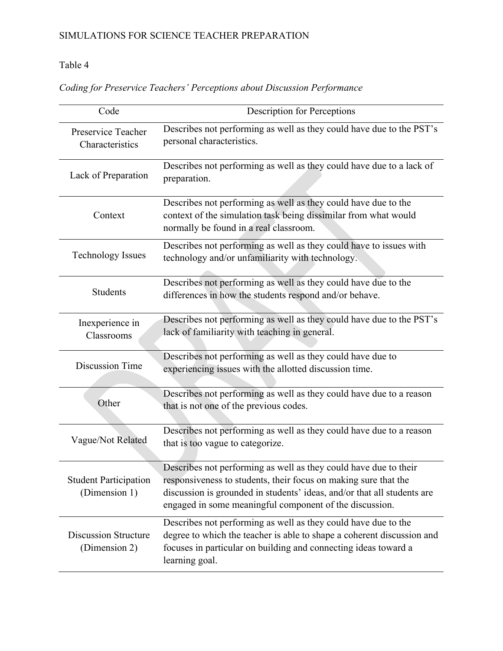# Table 4

|  |  | Coding for Preservice Teachers' Perceptions about Discussion Performance |  |
|--|--|--------------------------------------------------------------------------|--|
|  |  |                                                                          |  |

| Code                                          | <b>Description for Perceptions</b>                                                                                                                                                                                                                                        |  |  |
|-----------------------------------------------|---------------------------------------------------------------------------------------------------------------------------------------------------------------------------------------------------------------------------------------------------------------------------|--|--|
| Preservice Teacher<br>Characteristics         | Describes not performing as well as they could have due to the PST's<br>personal characteristics.                                                                                                                                                                         |  |  |
| Lack of Preparation                           | Describes not performing as well as they could have due to a lack of<br>preparation.                                                                                                                                                                                      |  |  |
| Context                                       | Describes not performing as well as they could have due to the<br>context of the simulation task being dissimilar from what would<br>normally be found in a real classroom.                                                                                               |  |  |
| <b>Technology Issues</b>                      | Describes not performing as well as they could have to issues with<br>technology and/or unfamiliarity with technology.                                                                                                                                                    |  |  |
| Students                                      | Describes not performing as well as they could have due to the<br>differences in how the students respond and/or behave.                                                                                                                                                  |  |  |
| Inexperience in<br>Classrooms                 | Describes not performing as well as they could have due to the PST's<br>lack of familiarity with teaching in general.                                                                                                                                                     |  |  |
| Discussion Time                               | Describes not performing as well as they could have due to<br>experiencing issues with the allotted discussion time.                                                                                                                                                      |  |  |
| Other                                         | Describes not performing as well as they could have due to a reason<br>that is not one of the previous codes.                                                                                                                                                             |  |  |
| Vague/Not Related                             | Describes not performing as well as they could have due to a reason<br>that is too vague to categorize.                                                                                                                                                                   |  |  |
| <b>Student Participation</b><br>(Dimension 1) | Describes not performing as well as they could have due to their<br>responsiveness to students, their focus on making sure that the<br>discussion is grounded in students' ideas, and/or that all students are<br>engaged in some meaningful component of the discussion. |  |  |
| <b>Discussion Structure</b><br>(Dimension 2)  | Describes not performing as well as they could have due to the<br>degree to which the teacher is able to shape a coherent discussion and<br>focuses in particular on building and connecting ideas toward a<br>learning goal.                                             |  |  |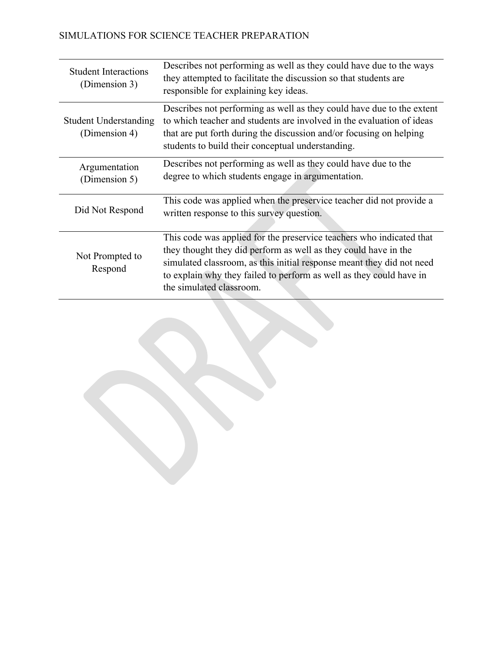| <b>Student Interactions</b><br>(Dimension 3)                                                                                                                                                                                                                                                                                                      | Describes not performing as well as they could have due to the ways<br>they attempted to facilitate the discussion so that students are<br>responsible for explaining key ideas.                                                                                           |
|---------------------------------------------------------------------------------------------------------------------------------------------------------------------------------------------------------------------------------------------------------------------------------------------------------------------------------------------------|----------------------------------------------------------------------------------------------------------------------------------------------------------------------------------------------------------------------------------------------------------------------------|
| <b>Student Understanding</b><br>(Dimension 4)                                                                                                                                                                                                                                                                                                     | Describes not performing as well as they could have due to the extent<br>to which teacher and students are involved in the evaluation of ideas<br>that are put forth during the discussion and/or focusing on helping<br>students to build their conceptual understanding. |
| Argumentation<br>(Dimension 5)                                                                                                                                                                                                                                                                                                                    | Describes not performing as well as they could have due to the<br>degree to which students engage in argumentation.                                                                                                                                                        |
| Did Not Respond                                                                                                                                                                                                                                                                                                                                   | This code was applied when the preservice teacher did not provide a<br>written response to this survey question.                                                                                                                                                           |
| This code was applied for the preservice teachers who indicated that<br>they thought they did perform as well as they could have in the<br>Not Prompted to<br>simulated classroom, as this initial response meant they did not need<br>Respond<br>to explain why they failed to perform as well as they could have in<br>the simulated classroom. |                                                                                                                                                                                                                                                                            |

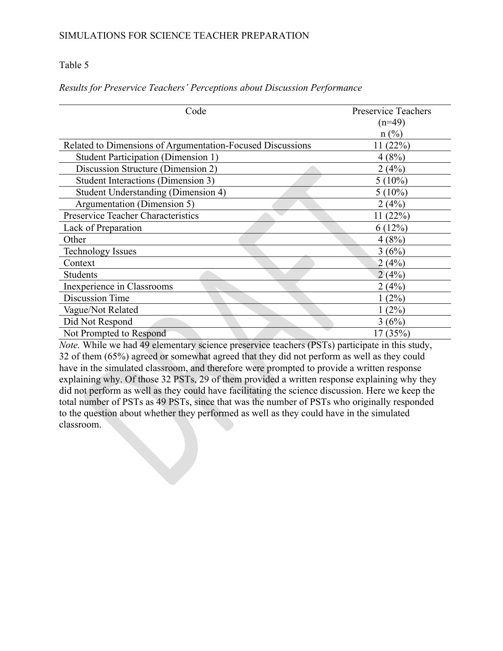### Table 5

| Code                                                       | <b>Preservice Teachers</b> |
|------------------------------------------------------------|----------------------------|
|                                                            | $(n=49)$                   |
|                                                            | $n(^{0}/_{0})$             |
| Related to Dimensions of Argumentation-Focused Discussions | 11(22%)                    |
| Student Participation (Dimension 1)                        | 4(8%)                      |
| Discussion Structure (Dimension 2)                         | 2(4%)                      |
| Student Interactions (Dimension 3)                         | $5(10\%)$                  |
| Student Understanding (Dimension 4)                        | $5(10\%)$                  |
| Argumentation (Dimension 5)                                | 2(4%)                      |
| Preservice Teacher Characteristics                         | 11(22%)                    |
| Lack of Preparation                                        | 6(12%)                     |
| Other                                                      | 4(8%)                      |
| <b>Technology Issues</b>                                   | 3(6%)                      |
| Context                                                    | 2(4%)                      |
| Students                                                   | 2(4%)                      |
| Inexperience in Classrooms                                 | 2 (4%)                     |
| Discussion Time                                            | $(2\%)$                    |
| Vague/Not Related                                          | (2%)                       |
| Did Not Respond                                            | 3(6%)                      |
| Not Prompted to Respond                                    | (35%)                      |

### *Results for Preservice Teachers' Perceptions about Discussion Performance*

*Note.* While we had 49 elementary science preservice teachers (PSTs) participate in this study, 32 of them (65%) agreed or somewhat agreed that they did not perform as well as they could have in the simulated classroom, and therefore were prompted to provide a written response explaining why. Of those 32 PSTs, 29 of them provided a written response explaining why they did not perform as well as they could have facilitating the science discussion. Here we keep the total number of PSTs as 49 PSTs, since that was the number of PSTs who originally responded to the question about whether they performed as well as they could have in the simulated classroom.